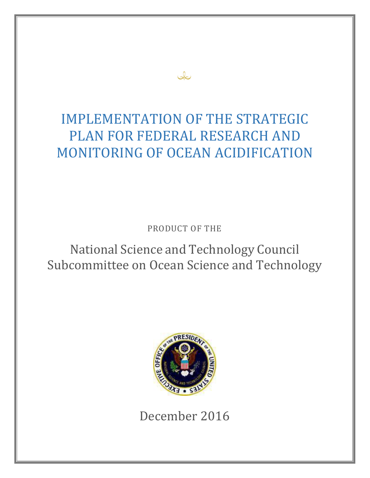# IMPLEMENTATION OF THE STRATEGIC PLAN FOR FEDERAL RESEARCH AND MONITORING OF OCEAN ACIDIFICATION

علك

PRODUCT OF THE

# National Science and Technology Council Subcommittee on Ocean Science and Technology



December 2016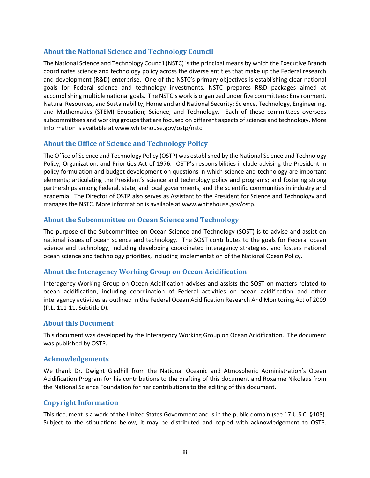#### **About the National Science and Technology Council**

The National Science and Technology Council (NSTC) is the principal means by which the Executive Branch coordinates science and technology policy across the diverse entities that make up the Federal research and development (R&D) enterprise. One of the NSTC's primary objectives is establishing clear national goals for Federal science and technology investments. NSTC prepares R&D packages aimed at accomplishing multiple national goals. The NSTC's work is organized under five committees: Environment, Natural Resources, and Sustainability; Homeland and National Security; Science, Technology, Engineering, and Mathematics (STEM) Education; Science; and Technology. Each of these committees oversees subcommittees and working groups that are focused on different aspects of science and technology. More information is available a[t www.whitehouse.gov/ostp/nstc.](http://www.whitehouse.gov/ostp/nstc)

#### **About the Office of Science and Technology Policy**

The Office of Science and Technology Policy (OSTP) was established by the National Science and Technology Policy, Organization, and Priorities Act of 1976. OSTP's responsibilities include advising the President in policy formulation and budget development on questions in which science and technology are important elements; articulating the President's science and technology policy and programs; and fostering strong partnerships among Federal, state, and local governments, and the scientific communities in industry and academia. The Director of OSTP also serves as Assistant to the President for Science and Technology and manages the NSTC. More information is available at [www.whitehouse.gov/ostp.](http://www.whitehouse.gov/ostp)

#### **About the Subcommittee on Ocean Science and Technology**

The purpose of the Subcommittee on Ocean Science and Technology (SOST) is to advise and assist on national issues of ocean science and technology. The SOST contributes to the goals for Federal ocean science and technology, including developing coordinated interagency strategies, and fosters national ocean science and technology priorities, including implementation of the National Ocean Policy.

#### **About the Interagency Working Group on Ocean Acidification**

Interagency Working Group on Ocean Acidification advises and assists the SOST on matters related to ocean acidification, including coordination of Federal activities on ocean acidification and other interagency activities as outlined in the Federal Ocean Acidification Research And Monitoring Act of 2009 (P.L. 111-11, Subtitle D).

#### **About this Document**

This document was developed by the Interagency Working Group on Ocean Acidification. The document was published by OSTP.

#### **Acknowledgements**

We thank Dr. Dwight Gledhill from the National Oceanic and Atmospheric Administration's Ocean Acidification Program for his contributions to the drafting of this document and Roxanne Nikolaus from the National Science Foundation for her contributions to the editing of this document.

#### **Copyright Information**

This document is a work of the United States Government and is in the public domain (see 17 U.S.C. §105). Subject to the stipulations below, it may be distributed and copied with acknowledgement to OSTP.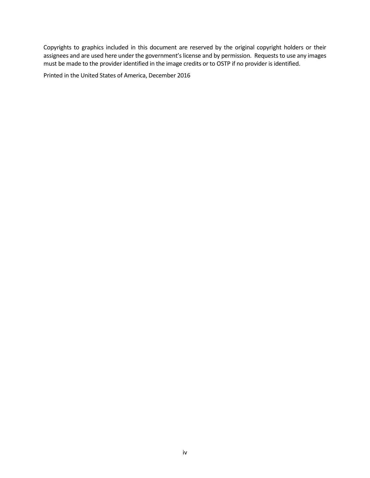Copyrights to graphics included in this document are reserved by the original copyright holders or their assignees and are used here under the government's license and by permission. Requests to use any images must be made to the provider identified in the image credits or to OSTP if no provider is identified.

Printed in the United States of America, December 2016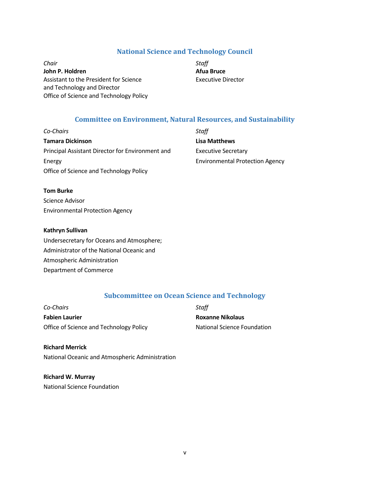#### **National Science and Technology Council**

*Chair Staff* **John P. Holdren Afua Bruce** Assistant to the President for Science **Executive Director** and Technology and Director Office of Science and Technology Policy

#### **Committee on Environment, Natural Resources, and Sustainability**

*Co-Chairs Staff* **Tamara Dickinson Lisa Matthews** Principal Assistant Director for Environment and Executive Secretary Energy Environmental Protection Agency Office of Science and Technology Policy

#### **Tom Burke**

Science Advisor Environmental Protection Agency

#### **Kathryn Sullivan**

Undersecretary for Oceans and Atmosphere; Administrator of the National Oceanic and Atmospheric Administration Department of Commerce

#### **Subcommittee on Ocean Science and Technology**

*Co-Chairs Staff* **Fabien Laurier Roxanne Nikolaus** Office of Science and Technology Policy National Science Foundation

#### **Richard Merrick** National Oceanic and Atmospheric Administration

**Richard W. Murray** National Science Foundation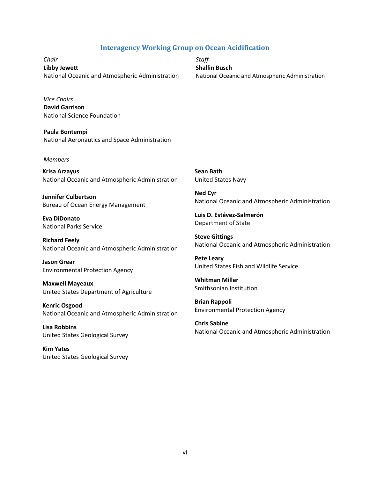#### **Interagency Working Group on Ocean Acidification**

*Chair Staff* **Libby Jewett Shallin Busch** National Oceanic and Atmospheric Administration National Oceanic and Atmospheric Administration

*Vice Chairs* **David Garrison** National Science Foundation

**Paula Bontempi** National Aeronautics and Space Administration

#### *Members*

**Krisa Arzayus** National Oceanic and Atmospheric Administration

**Jennifer Culbertson** Bureau of Ocean Energy Management

**Eva DiDonato** National Parks Service

**Richard Feely** National Oceanic and Atmospheric Administration

**Jason Grear** Environmental Protection Agency

**Maxwell Mayeaux** United States Department of Agriculture

**Kenric Osgood** National Oceanic and Atmospheric Administration

**Lisa Robbins** United States Geological Survey

**Kim Yates** United States Geological Survey **Sean Bath** United States Navy

**Ned Cyr** National Oceanic and Atmospheric Administration

**Luis D. Estévez-Salmerón** Department of State

**Steve Gittings** National Oceanic and Atmospheric Administration

**Pete Leary** United States Fish and Wildlife Service

**Whitman Miller** Smithsonian Institution

**Brian Rappoli** Environmental Protection Agency

**Chris Sabine** National Oceanic and Atmospheric Administration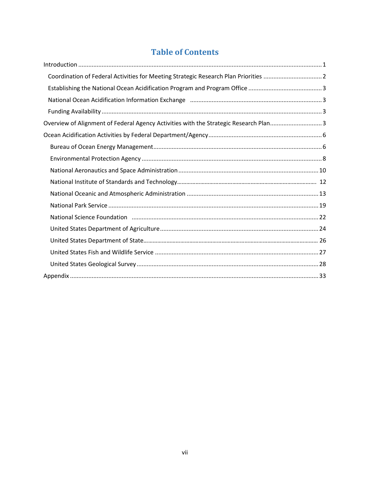# **Table of Contents**

| Coordination of Federal Activities for Meeting Strategic Research Plan Priorities 2                           |
|---------------------------------------------------------------------------------------------------------------|
|                                                                                                               |
|                                                                                                               |
|                                                                                                               |
| Overview of Alignment of Federal Agency Activities with the Strategic Research Plan3                          |
|                                                                                                               |
|                                                                                                               |
|                                                                                                               |
|                                                                                                               |
|                                                                                                               |
|                                                                                                               |
|                                                                                                               |
| National Science Foundation (1990) (22 March 2014) (23 March 2014) (24 March 2014) (24 March 2014) (2014) (20 |
|                                                                                                               |
|                                                                                                               |
|                                                                                                               |
|                                                                                                               |
|                                                                                                               |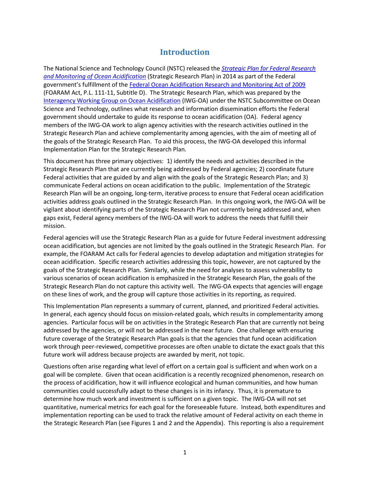### **Introduction**

<span id="page-6-0"></span>The National Science and Technology Council (NSTC) released the *[Strategic Plan for Federal Research](http://www.whitehouse.gov/sites/default/files/microsites/ostp/NSTC/iwg-oa_strategic_plan_march_2014.pdf)  [and Monitoring of Ocean Acidification](http://www.whitehouse.gov/sites/default/files/microsites/ostp/NSTC/iwg-oa_strategic_plan_march_2014.pdf)* (Strategic Research Plan) in 2014 as part of the Federal government's fulfillment of the [Federal Ocean Acidification Research and Monitoring Act](http://thomas.loc.gov/cgi-bin/bdquery/z?d111:HR00014:@@@L&summ2=m&) of 2009 (FOARAM Act, P.L. 111-11, Subtitle D). The Strategic Research Plan, which was prepared by the [Interagency Working Group on Ocean Acidification](http://oceanacidification.noaa.gov/IWGOA.aspx) (IWG-OA) under the NSTC Subcommittee on Ocean Science and Technology, outlines what research and information dissemination efforts the Federal government should undertake to guide its response to ocean acidification (OA). Federal agency members of the IWG-OA work to align agency activities with the research activities outlined in the Strategic Research Plan and achieve complementarity among agencies, with the aim of meeting all of the goals of the Strategic Research Plan. To aid this process, the IWG-OA developed this informal Implementation Plan for the Strategic Research Plan.

This document has three primary objectives: 1) identify the needs and activities described in the Strategic Research Plan that are currently being addressed by Federal agencies; 2) coordinate future Federal activities that are guided by and align with the goals of the Strategic Research Plan; and 3) communicate Federal actions on ocean acidification to the public. Implementation of the Strategic Research Plan will be an ongoing, long-term, iterative process to ensure that Federal ocean acidification activities address goals outlined in the Strategic Research Plan. In this ongoing work, the IWG-OA will be vigilant about identifying parts of the Strategic Research Plan not currently being addressed and, when gaps exist, Federal agency members of the IWG-OA will work to address the needs that fulfill their mission.

Federal agencies will use the Strategic Research Plan as a guide for future Federal investment addressing ocean acidification, but agencies are not limited by the goals outlined in the Strategic Research Plan. For example, the FOARAM Act calls for Federal agencies to develop adaptation and mitigation strategies for ocean acidification. Specific research activities addressing this topic, however, are not captured by the goals of the Strategic Research Plan. Similarly, while the need for analyses to assess vulnerability to various scenarios of ocean acidification is emphasized in the Strategic Research Plan, the goals of the Strategic Research Plan do not capture this activity well. The IWG-OA expects that agencies will engage on these lines of work, and the group will capture those activities in its reporting, as required.

This Implementation Plan represents a summary of current, planned, and prioritized Federal activities. In general, each agency should focus on mission-related goals, which results in complementarity among agencies. Particular focus will be on activities in the Strategic Research Plan that are currently not being addressed by the agencies, or will not be addressed in the near future. One challenge with ensuring future coverage of the Strategic Research Plan goals is that the agencies that fund ocean acidification work through peer-reviewed, competitive processes are often unable to dictate the exact goals that this future work will address because projects are awarded by merit, not topic.

Questions often arise regarding what level of effort on a certain goal is sufficient and when work on a goal will be complete. Given that ocean acidification is a recently recognized phenomenon, research on the process of acidification, how it will influence ecological and human communities, and how human communities could successfully adapt to these changes is in its infancy. Thus, it is premature to determine how much work and investment is sufficient on a given topic. The IWG-OA will not set quantitative, numerical metrics for each goal for the foreseeable future. Instead, both expenditures and implementation reporting can be used to track the relative amount of Federal activity on each theme in the Strategic Research Plan (see Figures 1 and 2 and the Appendix). This reporting is also a requirement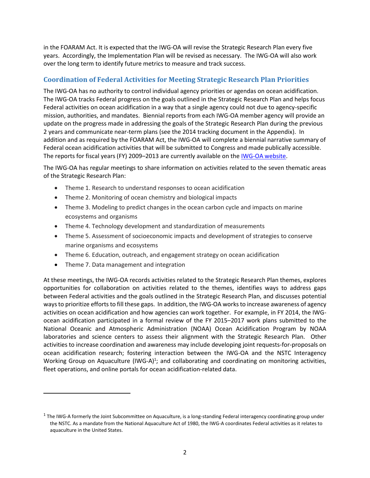in the FOARAM Act. It is expected that the IWG-OA will revise the Strategic Research Plan every five years. Accordingly, the Implementation Plan will be revised as necessary. The IWG-OA will also work over the long term to identify future metrics to measure and track success.

#### **Coordination of Federal Activities for Meeting Strategic Research Plan Priorities**

The IWG-OA has no authority to control individual agency priorities or agendas on ocean acidification. The IWG-OA tracks Federal progress on the goals outlined in the Strategic Research Plan and helps focus Federal activities on ocean acidification in a way that a single agency could not due to agency-specific mission, authorities, and mandates. Biennial reports from each IWG-OA member agency will provide an update on the progress made in addressing the goals of the Strategic Research Plan during the previous 2 years and communicate near-term plans (see the 2014 tracking document in the Appendix). In addition and as required by the FOARAM Act, the IWG-OA will complete a biennial narrative summary of Federal ocean acidification activities that will be submitted to Congress and made publically accessible. The reports for fiscal years (FY) 2009–2013 are currently available on the [IWG-OA website.](http://oceanacidification.noaa.gov/IWGOA/Documents.aspx)

The IWG-OA has regular meetings to share information on activities related to the seven thematic areas of the Strategic Research Plan:

- Theme 1. Research to understand responses to ocean acidification
- Theme 2. Monitoring of ocean chemistry and biological impacts
- Theme 3. Modeling to predict changes in the ocean carbon cycle and impacts on marine ecosystems and organisms
- Theme 4. Technology development and standardization of measurements
- Theme 5. Assessment of socioeconomic impacts and development of strategies to conserve marine organisms and ecosystems
- Theme 6. Education, outreach, and engagement strategy on ocean acidification
- Theme 7. Data management and integration

 $\overline{a}$ 

At these meetings, the IWG-OA records activities related to the Strategic Research Plan themes, explores opportunities for collaboration on activities related to the themes, identifies ways to address gaps between Federal activities and the goals outlined in the Strategic Research Plan, and discusses potential ways to prioritize efforts to fill these gaps. In addition, the IWG-OA worksto increase awareness of agency activities on ocean acidification and how agencies can work together. For example, in FY 2014, the IWGocean acidification participated in a formal review of the FY 2015–2017 work plans submitted to the National Oceanic and Atmospheric Administration (NOAA) Ocean Acidification Program by NOAA laboratories and science centers to assess their alignment with the Strategic Research Plan. Other activities to increase coordination and awareness may include developing joint requests-for-proposals on ocean acidification research; fostering interaction between the IWG-OA and the NSTC Interagency Working Group on Aquaculture (IWG-A)<sup>1</sup>; and collaborating and coordinating on monitoring activities, fleet operations, and online portals for ocean acidification-related data.

 $^1$  The IWG-A formerly the Joint Subcommittee on Aquaculture, is a long-standing Federal interagency coordinating group under the NSTC. As a mandate from the National Aquaculture Act of 1980, the IWG-A coordinates Federal activities as it relates to aquaculture in the United States.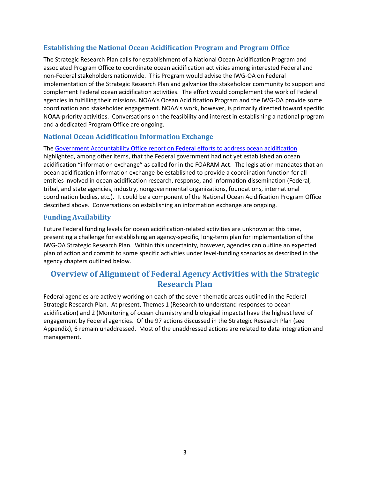#### **Establishing the National Ocean Acidification Program and Program Office**

The Strategic Research Plan calls for establishment of a National Ocean Acidification Program and associated Program Office to coordinate ocean acidification activities among interested Federal and non-Federal stakeholders nationwide. This Program would advise the IWG-OA on Federal implementation of the Strategic Research Plan and galvanize the stakeholder community to support and complement Federal ocean acidification activities. The effort would complement the work of Federal agencies in fulfilling their missions. NOAA's Ocean Acidification Program and the IWG-OA provide some coordination and stakeholder engagement. NOAA's work, however, is primarily directed toward specific NOAA-priority activities. Conversations on the feasibility and interest in establishing a national program and a dedicated Program Office are ongoing.

#### **National Ocean Acidification Information Exchange**

The [Government Accountability Office report on F](http://www.gao.gov/products/GAO-14-736)ederal [efforts to address ocean acidification](http://www.gao.gov/products/GAO-14-736) highlighted, among other items, that the Federal government had not yet established an ocean acidification "information exchange" as called for in the FOARAM Act. The legislation mandates that an ocean acidification information exchange be established to provide a coordination function for all entities involved in ocean acidification research, response, and information dissemination (Federal, tribal, and state agencies, industry, nongovernmental organizations, foundations, international coordination bodies, etc*.*). It could be a component of the National Ocean Acidification Program Office described above. Conversations on establishing an information exchange are ongoing.

#### **Funding Availability**

Future Federal funding levels for ocean acidification-related activities are unknown at this time, presenting a challenge for establishing an agency-specific, long-term plan for implementation of the IWG-OA Strategic Research Plan. Within this uncertainty, however, agencies can outline an expected plan of action and commit to some specific activities under level-funding scenarios as described in the agency chapters outlined below.

### **Overview of Alignment of Federal Agency Activities with the Strategic Research Plan**

Federal agencies are actively working on each of the seven thematic areas outlined in the Federal Strategic Research Plan. At present, Themes 1 (Research to understand responses to ocean acidification) and 2 (Monitoring of ocean chemistry and biological impacts) have the highest level of engagement by Federal agencies. Of the 97 actions discussed in the Strategic Research Plan (see Appendix), 6 remain unaddressed. Most of the unaddressed actions are related to data integration and management.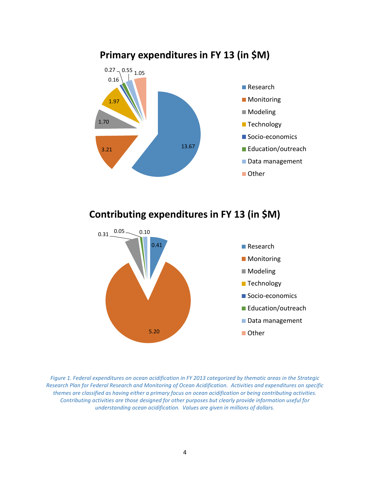

## **Primary expenditures in FY 13 (in \$M)**

**Contributing expenditures in FY 13 (in \$M)**



*Figure 1. Federal expenditures on ocean acidification in FY 2013 categorized by thematic areas in the Strategic Research Plan for Federal Research and Monitoring of Ocean Acidification. Activities and expenditures on specific themes are classified as having either a primary focus on ocean acidification or being contributing activities. Contributing activities are those designed for other purposes but clearly provide information useful for understanding ocean acidification. Values are given in millions of dollars.*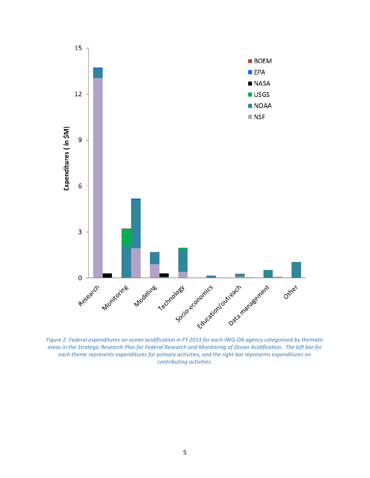

*Figure 2. Federal expenditures on ocean acidification in FY 2013 for each IWG-OA agency categorized by thematic areas in the Strategic Research Plan for Federal Research and Monitoring of Ocean Acidification. The left bar for each theme represents expenditures for primary activities, and the right bar represents expenditures on contributing activities.*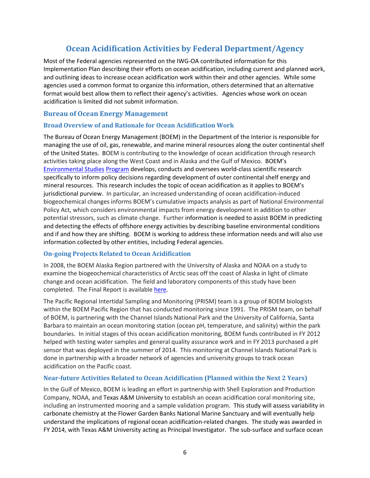## **Ocean Acidification Activities by Federal Department/Agency**

Most of the Federal agencies represented on the IWG-OA contributed information for this Implementation Plan describing their efforts on ocean acidification, including current and planned work, and outlining ideas to increase ocean acidification work within their and other agencies. While some agencies used a common format to organize this information, others determined that an alternative format would best allow them to reflect their agency's activities. Agencies whose work on ocean acidification is limited did not submit information.

#### **Bureau of Ocean Energy Management**

#### **Broad Overview of and Rationale for Ocean Acidification Work**

The Bureau of Ocean Energy Management (BOEM) in the Department of the Interior is responsible for managing the use of oil, gas, renewable, and marine mineral resources along the outer continental shelf of the United States. BOEM is contributing to the knowledge of ocean acidification through research activities taking place along the West Coast and in Alaska and the Gulf of Mexico. BOEM's [Environmental Studies](http://www.boem.gov/Environmental-Stewardship/Environmental-Studies/Planning.aspx) [Program](http://www.boem.gov/Environmental-Stewardship/Environmental-Studies/Planning.aspx) develops, conducts and oversees world-class scientific research specifically to inform policy decisions regarding development of outer continental shelf energy and mineral resources. This research includes the topic of ocean acidification as it applies to BOEM's jurisdictional purview. In particular, an increased understanding of ocean acidification-induced biogeochemical changes informs BOEM's cumulative impacts analysis as part of National Environmental Policy Act, which considers environmental impacts from energy development in addition to other potential stressors, such as climate change. Further information is needed to assist BOEM in predicting and detecting the effects of offshore energy activities by describing baseline environmental conditions and if and how they are shifting. BOEM is working to address these information needs and will also use information collected by other entities, including Federal agencies.

#### **On-going Projects Related to Ocean Acidification**

In 2008, the BOEM Alaska Region partnered with the University of Alaska and NOAA on a study to examine the biogeochemical characteristics of Arctic seas off the coast of Alaska in light of climate change and ocean acidification. The field and laboratory components of this study have been completed. The Final Report is available [here.](http://www.data.boem.gov/PI/PDFImages/ESPIS/5/5460.pdf)

The Pacific Regional Intertidal Sampling and Monitoring (PRISM) team is a group of BOEM biologists within the BOEM Pacific Region that has conducted monitoring since 1991. The PRISM team, on behalf of BOEM, is partnering with the Channel Islands National Park and the University of California, Santa Barbara to maintain an ocean monitoring station (ocean pH, temperature, and salinity) within the park boundaries. In initial stages of this ocean acidification monitoring, BOEM funds contributed in FY 2012 helped with testing water samples and general quality assurance work and in FY 2013 purchased a pH sensor that was deployed in the summer of 2014. This monitoring at Channel Islands National Park is done in partnership with a broader network of agencies and university groups to track ocean acidification on the Pacific coast.

#### **Near-future Activities Related to Ocean Acidification (Planned within the Next 2 Years)**

In the Gulf of Mexico, BOEM is leading an effort in partnership with Shell Exploration and Production Company, NOAA, and Texas A&M University to establish an ocean acidification coral monitoring site, including an instrumented mooring and a sample validation program. This study will assess variability in carbonate chemistry at the Flower Garden Banks National Marine Sanctuary and will eventually help understand the implications of regional ocean acidification-related changes. The study was awarded in FY 2014, with Texas A&M University acting as Principal Investigator. The sub-surface and surface ocean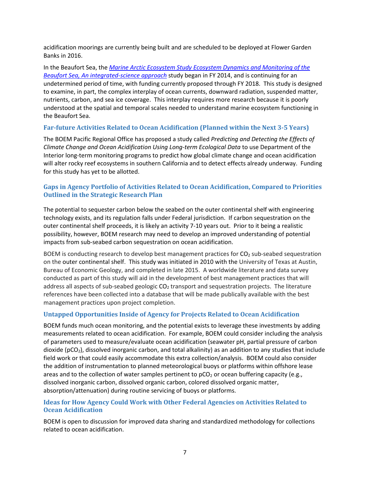acidification moorings are currently being built and are scheduled to be deployed at Flower Garden Banks in 2016.

In the Beaufort Sea, the *[Marine Arctic Ecosystem Study Ecosystem Dynamics and Monitoring of the](http://www.nopp.org/funded-projects/past-projects/fy2014-projects/topic-2-marine-arctic-ecosystem-study-mares-ecosystem-dynamics-and-monitoring-of-the-beaufort-sea-an-integrated-science-approach/)  [Beaufort Sea, An integrated-science approach](http://www.nopp.org/funded-projects/past-projects/fy2014-projects/topic-2-marine-arctic-ecosystem-study-mares-ecosystem-dynamics-and-monitoring-of-the-beaufort-sea-an-integrated-science-approach/)* study began in FY 2014, and is continuing for an undetermined period of time, with funding currently proposed through FY 2018. This study is designed to examine, in part, the complex interplay of ocean currents, downward radiation, suspended matter, nutrients, carbon, and sea ice coverage. This interplay requires more research because it is poorly understood at the spatial and temporal scales needed to understand marine ecosystem functioning in the Beaufort Sea.

#### **Far-future Activities Related to Ocean Acidification (Planned within the Next 3-5 Years)**

The BOEM Pacific Regional Office has proposed a study called *Predicting and Detecting the Effects of Climate Change and Ocean Acidification Using Long-term Ecological Data* to use Department of the Interior long-term monitoring programs to predict how global climate change and ocean acidification will alter rocky reef ecosystems in southern California and to detect effects already underway. Funding for this study has yet to be allotted.

#### **Gaps in Agency Portfolio of Activities Related to Ocean Acidification, Compared to Priorities Outlined in the Strategic Research Plan**

The potential to sequester carbon below the seabed on the outer continental shelf with engineering technology exists, and its regulation falls under Federal jurisdiction. If carbon sequestration on the outer continental shelf proceeds, it is likely an activity 7-10 years out. Prior to it being a realistic possibility, however, BOEM research may need to develop an improved understanding of potential impacts from sub-seabed carbon sequestration on ocean acidification.

BOEM is conducting research to develop best management practices for  $CO<sub>2</sub>$  sub-seabed sequestration on the outer continental shelf. This study was initiated in 2010 with the University of Texas at Austin, Bureau of Economic Geology, and completed in late 2015. A worldwide literature and data survey conducted as part of this study will aid in the development of best management practices that will address all aspects of sub-seabed geologic  $CO<sub>2</sub>$  transport and sequestration projects. The literature references have been collected into a database that will be made publically available with the best management practices upon project completion.

#### **Untapped Opportunities Inside of Agency for Projects Related to Ocean Acidification**

BOEM funds much ocean monitoring, and the potential exists to leverage these investments by adding measurements related to ocean acidification. For example, BOEM could consider including the analysis of parameters used to measure/evaluate ocean acidification (seawater pH, partial pressure of carbon dioxide ( $pCO<sub>2</sub>$ ), dissolved inorganic carbon, and total alkalinity) as an addition to any studies that include field work or that could easily accommodate this extra collection/analysis. BOEM could also consider the addition of instrumentation to planned meteorological buoys or platforms within offshore lease areas and to the collection of water samples pertinent to  $pCO<sub>2</sub>$  or ocean buffering capacity (e.g., dissolved inorganic carbon, dissolved organic carbon, colored dissolved organic matter, absorption/attenuation) during routine servicing of buoys or platforms.

#### **Ideas for How Agency Could Work with Other Federal Agencies on Activities Related to Ocean Acidification**

BOEM is open to discussion for improved data sharing and standardized methodology for collections related to ocean acidification.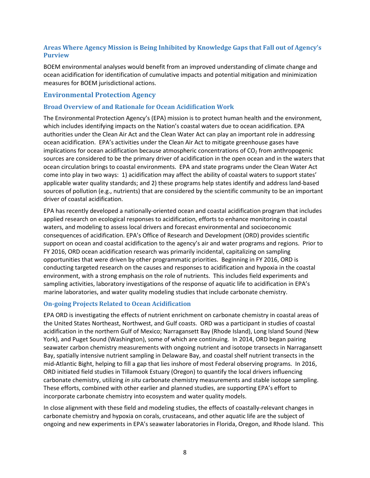#### **Areas Where Agency Mission is Being Inhibited by Knowledge Gaps that Fall out of Agency's Purview**

BOEM environmental analyses would benefit from an improved understanding of climate change and ocean acidification for identification of cumulative impacts and potential mitigation and minimization measures for BOEM jurisdictional actions.

#### **Environmental Protection Agency**

#### **Broad Overview of and Rationale for Ocean Acidification Work**

The Environmental Protection Agency's (EPA) mission is to protect human health and the environment, which includes identifying impacts on the Nation's coastal waters due to ocean acidification. EPA authorities under the Clean Air Act and the Clean Water Act can play an important role in addressing ocean acidification. EPA's activities under the Clean Air Act to mitigate greenhouse gases have implications for ocean acidification because atmospheric concentrations of  $CO<sub>2</sub>$  from anthropogenic sources are considered to be the primary driver of acidification in the open ocean and in the waters that ocean circulation brings to coastal environments. EPA and state programs under the Clean Water Act come into play in two ways: 1) acidification may affect the ability of coastal waters to support states' applicable water quality standards; and 2) these programs help states identify and address land-based sources of pollution (e.g., nutrients) that are considered by the scientific community to be an important driver of coastal acidification.

EPA has recently developed a nationally-oriented ocean and coastal acidification program that includes applied research on ecological responses to acidification, efforts to enhance monitoring in coastal waters, and modeling to assess local drivers and forecast environmental and socioeconomic consequences of acidification. EPA's Office of Research and Development (ORD) provides scientific support on ocean and coastal acidification to the agency's air and water programs and regions. Prior to FY 2016, ORD ocean acidification research was primarily incidental, capitalizing on sampling opportunities that were driven by other programmatic priorities. Beginning in FY 2016, ORD is conducting targeted research on the causes and responses to acidification and hypoxia in the coastal environment, with a strong emphasis on the role of nutrients. This includes field experiments and sampling activities, laboratory investigations of the response of aquatic life to acidification in EPA's marine laboratories, and water quality modeling studies that include carbonate chemistry.

#### **On-going Projects Related to Ocean Acidification**

EPA ORD is investigating the effects of nutrient enrichment on carbonate chemistry in coastal areas of the United States Northeast, Northwest, and Gulf coasts. ORD was a participant in studies of coastal acidification in the northern Gulf of Mexico; Narragansett Bay (Rhode Island), Long Island Sound (New York), and Puget Sound (Washington), some of which are continuing. In 2014, ORD began pairing seawater carbon chemistry measurements with ongoing nutrient and isotope transects in Narragansett Bay, spatially intensive nutrient sampling in Delaware Bay, and coastal shelf nutrient transects in the mid-Atlantic Bight, helping to fill a gap that lies inshore of most Federal observing programs. In 2016, ORD initiated field studies in Tillamook Estuary (Oregon) to quantify the local drivers influencing carbonate chemistry, utilizing *in situ* carbonate chemistry measurements and stable isotope sampling. These efforts, combined with other earlier and planned studies, are supporting EPA's effort to incorporate carbonate chemistry into ecosystem and water quality models.

In close alignment with these field and modeling studies, the effects of coastally-relevant changes in carbonate chemistry and hypoxia on corals, crustaceans, and other aquatic life are the subject of ongoing and new experiments in EPA's seawater laboratories in Florida, Oregon, and Rhode Island. This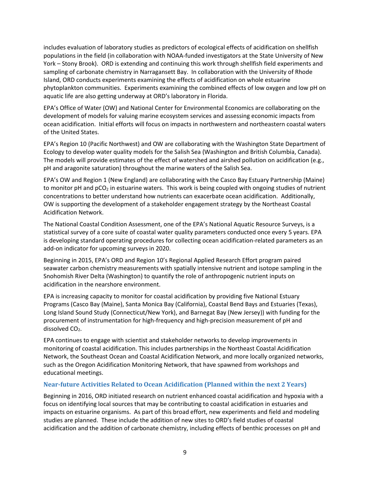includes evaluation of laboratory studies as predictors of ecological effects of acidification on shellfish populations in the field (in collaboration with NOAA-funded investigators at the State University of New York – Stony Brook). ORD is extending and continuing this work through shellfish field experiments and sampling of carbonate chemistry in Narragansett Bay. In collaboration with the University of Rhode Island, ORD conducts experiments examining the effects of acidification on whole estuarine phytoplankton communities. Experiments examining the combined effects of low oxygen and low pH on aquatic life are also getting underway at ORD's laboratory in Florida.

EPA's Office of Water (OW) and National Center for Environmental Economics are collaborating on the development of models for valuing marine ecosystem services and assessing economic impacts from ocean acidification. Initial efforts will focus on impacts in northwestern and northeastern coastal waters of the United States.

EPA's Region 10 (Pacific Northwest) and OW are collaborating with the Washington State Department of Ecology to develop water quality models for the Salish Sea (Washington and British Columbia, Canada). The models will provide estimates of the effect of watershed and airshed pollution on acidification (e.g., pH and aragonite saturation) throughout the marine waters of the Salish Sea.

EPA's OW and Region 1 (New England) are collaborating with the Casco Bay Estuary Partnership (Maine) to monitor pH and  $pCO<sub>2</sub>$  in estuarine waters. This work is being coupled with ongoing studies of nutrient concentrations to better understand how nutrients can exacerbate ocean acidification. Additionally, OW is supporting the development of a stakeholder engagement strategy by the Northeast Coastal Acidification Network.

The National Coastal Condition Assessment, one of the EPA's National Aquatic Resource Surveys, is a statistical survey of a core suite of coastal water quality parameters conducted once every 5 years. EPA is developing standard operating procedures for collecting ocean acidification-related parameters as an add-on indicator for upcoming surveys in 2020.

Beginning in 2015, EPA's ORD and Region 10's Regional Applied Research Effort program paired seawater carbon chemistry measurements with spatially intensive nutrient and isotope sampling in the Snohomish River Delta (Washington) to quantify the role of anthropogenic nutrient inputs on acidification in the nearshore environment.

EPA is increasing capacity to monitor for coastal acidification by providing five National Estuary Programs (Casco Bay (Maine), Santa Monica Bay (California), Coastal Bend Bays and Estuaries (Texas), Long Island Sound Study (Connecticut/New York), and Barnegat Bay (New Jersey)) with funding for the procurement of instrumentation for high-frequency and high-precision measurement of pH and dissolved CO<sub>2</sub>.

EPA continues to engage with scientist and stakeholder networks to develop improvements in monitoring of coastal acidification. This includes partnerships in the Northeast Coastal Acidification Network, the Southeast Ocean and Coastal Acidification Network, and more locally organized networks, such as the Oregon Acidification Monitoring Network, that have spawned from workshops and educational meetings.

#### **Near-future Activities Related to Ocean Acidification (Planned within the next 2 Years)**

Beginning in 2016, ORD initiated research on nutrient enhanced coastal acidification and hypoxia with a focus on identifying local sources that may be contributing to coastal acidification in estuaries and impacts on estuarine organisms. As part of this broad effort, new experiments and field and modeling studies are planned. These include the addition of new sites to ORD's field studies of coastal acidification and the addition of carbonate chemistry, including effects of benthic processes on pH and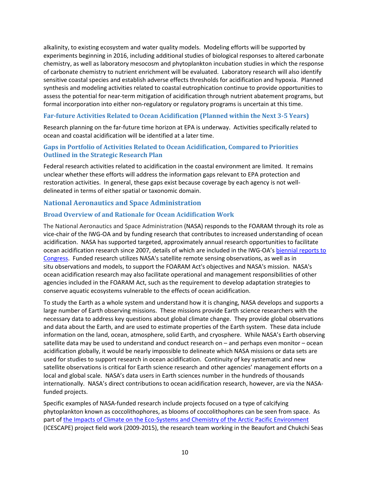alkalinity, to existing ecosystem and water quality models. Modeling efforts will be supported by experiments beginning in 2016, including additional studies of biological responses to altered carbonate chemistry, as well as laboratory mesocosm and phytoplankton incubation studies in which the response of carbonate chemistry to nutrient enrichment will be evaluated. Laboratory research will also identify sensitive coastal species and establish adverse effects thresholds for acidification and hypoxia. Planned synthesis and modeling activities related to coastal eutrophication continue to provide opportunities to assess the potential for near-term mitigation of acidification through nutrient abatement programs, but formal incorporation into either non-regulatory or regulatory programs is uncertain at this time.

#### **Far-future Activities Related to Ocean Acidification (Planned within the Next 3-5 Years)**

Research planning on the far-future time horizon at EPA is underway. Activities specifically related to ocean and coastal acidification will be identified at a later time.

#### **Gaps in Portfolio of Activities Related to Ocean Acidification, Compared to Priorities Outlined in the Strategic Research Plan**

Federal research activities related to acidification in the coastal environment are limited. It remains unclear whether these efforts will address the information gaps relevant to EPA protection and restoration activities. In general, these gaps exist because coverage by each agency is not welldelineated in terms of either spatial or taxonomic domain.

#### **National Aeronautics and Space Administration**

#### **Broad Overview of and Rationale for Ocean Acidification Work**

The National Aeronautics and Space Administration (NASA) responds to the FOARAM through its role as vice-chair of the IWG-OA and by funding research that contributes to increased understanding of ocean acidification. NASA has supported targeted, approximately annual research opportunities to facilitate ocean acidification research since 2007, details of which are included in the IWG-OA's [biennial reports to](http://oceanacidification.noaa.gov/IWGOA/Documents.aspx)  [Congress.](http://oceanacidification.noaa.gov/IWGOA/Documents.aspx) Funded research utilizes NASA's satellite remote sensing observations, as well as in situ observations and models, to support the FOARAM Act's objectives and NASA's mission. NASA's ocean acidification research may also facilitate operational and management responsibilities of other agencies included in the FOARAM Act, such as the requirement to develop adaptation strategies to conserve aquatic ecosystems vulnerable to the effects of ocean acidification.

To study the Earth as a whole system and understand how it is changing, NASA develops and supports a large number of Earth observing missions. These missions provide Earth science researchers with the necessary data to address key questions about global climate change. They provide global observations and data about the Earth, and are used to estimate properties of the Earth system. These data include information on the land, ocean, atmosphere, solid Earth, and cryosphere. While NASA's Earth observing satellite data may be used to understand and conduct research on – and perhaps even monitor – ocean acidification globally, it would be nearly impossible to delineate which NASA missions or data sets are used for studies to support research in ocean acidification. Continuity of key systematic and new satellite observations is critical for Earth science research and other agencies' management efforts on a local and global scale. NASA's data users in Earth sciences number in the hundreds of thousands internationally. NASA's direct contributions to ocean acidification research, however, are via the NASAfunded projects.

Specific examples of NASA-funded research include projects focused on a type of calcifying phytoplankton known as coccolithophores, as blooms of coccolithophores can be seen from space. As part o[f the Impacts of Climate on the Eco-Systems and Chemistry of the Arctic Pacific Environment](https://espo.nasa.gov/icescape/) (ICESCAPE) project field work (2009-2015), the research team working in the Beaufort and Chukchi Seas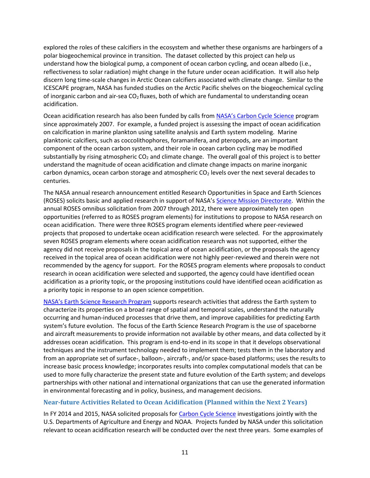explored the roles of these calcifiers in the ecosystem and whether these organisms are harbingers of a polar biogeochemical province in transition. The dataset collected by this project can help us understand how the biological pump, a component of ocean carbon cycling, and ocean albedo (i.e., reflectiveness to solar radiation) might change in the future under ocean acidification. It will also help discern long time-scale changes in Arctic Ocean calcifiers associated with climate change. Similar to the ICESCAPE program, NASA has funded studies on the Arctic Pacific shelves on the biogeochemical cycling of inorganic carbon and air-sea  $CO<sub>2</sub>$  fluxes, both of which are fundamental to understanding ocean acidification.

Ocean acidification research has also been funded by calls from [NASA's Carbon Cycle Science](http://cce.nasa.gov/cce/index.htm) program since approximately 2007. For example, a funded project is assessing the impact of ocean acidification on calcification in marine plankton using satellite analysis and Earth system modeling. Marine planktonic calcifiers, such as coccolithophores, foramanifera, and pteropods, are an important component of the ocean carbon system, and their role in ocean carbon cycling may be modified substantially by rising atmospheric  $CO<sub>2</sub>$  and climate change. The overall goal of this project is to better understand the magnitude of ocean acidification and climate change impacts on marine inorganic carbon dynamics, ocean carbon storage and atmospheric  $CO<sub>2</sub>$  levels over the next several decades to centuries.

The NASA annual research announcement entitled Research Opportunities in Space and Earth Sciences (ROSES) solicits basic and applied research in support of NASA's [Science Mission Directorate.](http://science.nasa.gov/) Within the annual ROSES omnibus solicitation from 2007 through 2012, there were approximately ten open opportunities (referred to as ROSES program elements) for institutions to propose to NASA research on ocean acidification. There were three ROSES program elements identified where peer-reviewed projects that proposed to undertake ocean acidification research were selected. For the approximately seven ROSES program elements where ocean acidification research was not supported, either the agency did not receive proposals in the topical area of ocean acidification, or the proposals the agency received in the topical area of ocean acidification were not highly peer-reviewed and therein were not recommended by the agency for support. For the ROSES program elements where proposals to conduct research in ocean acidification were selected and supported, the agency could have identified ocean acidification as a priority topic, or the proposing institutions could have identified ocean acidification as a priority topic in response to an open science competition.

[NASA's Earth Science Research Program](http://science.nasa.gov/earth-science/) supports research activities that address the Earth system to characterize its properties on a broad range of spatial and temporal scales, understand the naturally occurring and human-induced processes that drive them, and improve capabilities for predicting Earth system's future evolution. The focus of the Earth Science Research Program is the use of spaceborne and aircraft measurements to provide information not available by other means, and data collected by it addresses ocean acidification. This program is end-to-end in its scope in that it develops observational techniques and the instrument technology needed to implement them; tests them in the laboratory and from an appropriate set of surface-, balloon-, aircraft-, and/or space-based platforms; uses the results to increase basic process knowledge; incorporates results into complex computational models that can be used to more fully characterize the present state and future evolution of the Earth system; and develops partnerships with other national and international organizations that can use the generated information in environmental forecasting and in policy, business, and management decisions.

#### **Near-future Activities Related to Ocean Acidification (Planned within the Next 2 Years)**

In FY 2014 and 2015, NASA solicited proposals for [Carbon Cycle Science](http://cce.nasa.gov/cce/index.htm) investigations jointly with the U.S. Departments of Agriculture and Energy and NOAA. Projects funded by NASA under this solicitation relevant to ocean acidification research will be conducted over the next three years. Some examples of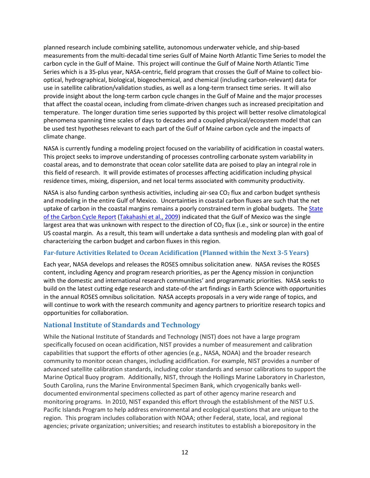planned research include combining satellite, autonomous underwater vehicle, and ship-based measurements from the multi-decadal time series Gulf of Maine North Atlantic Time Series to model the carbon cycle in the Gulf of Maine. This project will continue the Gulf of Maine North Atlantic Time Series which is a 35-plus year, NASA-centric, field program that crosses the Gulf of Maine to collect biooptical, hydrographical, biological, biogeochemical, and chemical (including carbon-relevant) data for use in satellite calibration/validation studies, as well as a long-term transect time series. It will also provide insight about the long-term carbon cycle changes in the Gulf of Maine and the major processes that affect the coastal ocean, including from climate-driven changes such as increased precipitation and temperature. The longer duration time series supported by this project will better resolve climatological phenomena spanning time scales of days to decades and a coupled physical/ecosystem model that can be used test hypotheses relevant to each part of the Gulf of Maine carbon cycle and the impacts of climate change.

NASA is currently funding a modeling project focused on the variability of acidification in coastal waters. This project seeks to improve understanding of processes controlling carbonate system variability in coastal areas, and to demonstrate that ocean color satellite data are poised to play an integral role in this field of research. It will provide estimates of processes affecting acidification including physical residence times, mixing, dispersion, and net local terms associated with community productivity.

NASA is also funding carbon synthesis activities, including air-sea  $CO<sub>2</sub>$  flux and carbon budget synthesis and modeling in the entire Gulf of Mexico. Uncertainties in coastal carbon fluxes are such that the net uptake of carbon in the coastal margins remains a poorly constrained term in global budgets. The State [of the Carbon Cycle Report](http://cdiac.ornl.gov/SOCCR/) [\(Takahashi et al., 2009\)](http://www.sciencedirect.com/science/article/pii/S0967064508004311) indicated that the Gulf of Mexico was the single largest area that was unknown with respect to the direction of  $CO<sub>2</sub>$  flux (i.e., sink or source) in the entire US coastal margin. As a result, this team will undertake a data synthesis and modeling plan with goal of characterizing the carbon budget and carbon fluxes in this region.

#### **Far-future Activities Related to Ocean Acidification (Planned within the Next 3-5 Years)**

Each year, NASA develops and releases the ROSES omnibus solicitation anew. NASA revises the ROSES content, including Agency and program research priorities, as per the Agency mission in conjunction with the domestic and international research communities' and programmatic priorities. NASA seeks to build on the latest cutting edge research and state-of-the art findings in Earth Science with opportunities in the annual ROSES omnibus solicitation. NASA accepts proposals in a very wide range of topics, and will continue to work with the research community and agency partners to prioritize research topics and opportunities for collaboration.

#### **National Institute of Standards and Technology**

While the National Institute of Standards and Technology (NIST) does not have a large program specifically focused on ocean acidification, NIST provides a number of measurement and calibration capabilities that support the efforts of other agencies (e.g., NASA, NOAA) and the broader research community to monitor ocean changes, including acidification. For example, NIST provides a number of advanced satellite calibration standards, including color standards and sensor calibrations to support the Marine Optical Buoy program. Additionally, NIST, through the Hollings Marine Laboratory in Charleston, South Carolina, runs the Marine Environmental Specimen Bank, which cryogenically banks welldocumented environmental specimens collected as part of other agency marine research and monitoring programs. In 2010, NIST expanded this effort through the establishment of the NIST U.S. Pacific Islands Program to help address environmental and ecological questions that are unique to the region. This program includes collaboration with NOAA; other Federal, state, local, and regional agencies; private organization; universities; and research institutes to establish a biorepository in the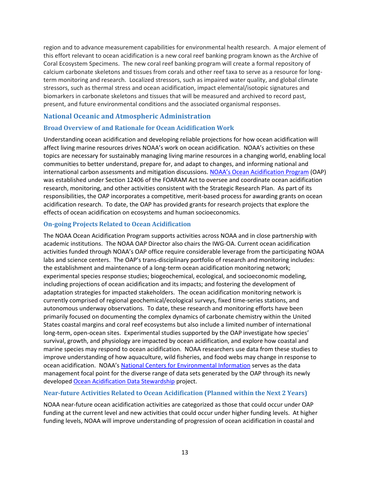region and to advance measurement capabilities for environmental health research. A major element of this effort relevant to ocean acidification is a new coral reef banking program known as the Archive of Coral Ecosystem Specimens. The new coral reef banking program will create a formal repository of calcium carbonate skeletons and tissues from corals and other reef taxa to serve as a resource for longterm monitoring and research. Localized stressors, such as impaired water quality, and global climate stressors, such as thermal stress and ocean acidification, impact elemental/isotopic signatures and biomarkers in carbonate skeletons and tissues that will be measured and archived to record past, present, and future environmental conditions and the associated organismal responses.

#### **National Oceanic and Atmospheric Administration**

#### **Broad Overview of and Rationale for Ocean Acidification Work**

Understanding ocean acidification and developing reliable projections for how ocean acidification will affect living marine resources drives NOAA's work on ocean acidification. NOAA's activities on these topics are necessary for sustainably managing living marine resources in a changing world, enabling local communities to better understand, prepare for, and adapt to changes, and informing national and international carbon assessments and mitigation discussions. [NOAA's Ocean Acidification Program](http://oceanacidification.noaa.gov/) (OAP) was established under Section 12406 of the FOARAM Act to oversee and coordinate ocean acidification research, monitoring, and other activities consistent with the Strategic Research Plan. As part of its responsibilities, the OAP incorporates a competitive, merit-based process for awarding grants on ocean acidification research. To date, the OAP has provided grants for research projects that explore the effects of ocean acidification on ecosystems and human socioeconomics.

#### **On-going Projects Related to Ocean Acidification**

The NOAA Ocean Acidification Program supports activities across NOAA and in close partnership with academic institutions. The NOAA OAP Director also chairs the IWG-OA. Current ocean acidification activities funded through NOAA's OAP office require considerable leverage from the participating NOAA labs and science centers. The OAP's trans-disciplinary portfolio of research and monitoring includes: the establishment and maintenance of a long-term ocean acidification monitoring network; experimental species response studies; biogeochemical, ecological, and socioeconomic modeling, including projections of ocean acidification and its impacts; and fostering the development of adaptation strategies for impacted stakeholders. The ocean acidification monitoring network is currently comprised of regional geochemical/ecological surveys, fixed time-series stations, and autonomous underway observations. To date, these research and monitoring efforts have been primarily focused on documenting the complex dynamics of carbonate chemistry within the United States coastal margins and coral reef ecosystems but also include a limited number of international long-term, open-ocean sites. Experimental studies supported by the OAP investigate how species' survival, growth, and physiology are impacted by ocean acidification, and explore how coastal and marine species may respond to ocean acidification. NOAA researchers use data from these studies to improve understanding of how aquaculture, wild fisheries, and food webs may change in response to ocean acidification. NOAA's [National Centers for Environmental Information](https://www.ncei.noaa.gov/) serves as the data management focal point for the diverse range of data sets generated by the OAP through its newly develope[d Ocean Acidification Data Stewardship](https://www.nodc.noaa.gov/oceanacidification/) project.

#### **Near-future Activities Related to Ocean Acidification (Planned within the Next 2 Years)**

NOAA near-future ocean acidification activities are categorized as those that could occur under OAP funding at the current level and new activities that could occur under higher funding levels. At higher funding levels, NOAA will improve understanding of progression of ocean acidification in coastal and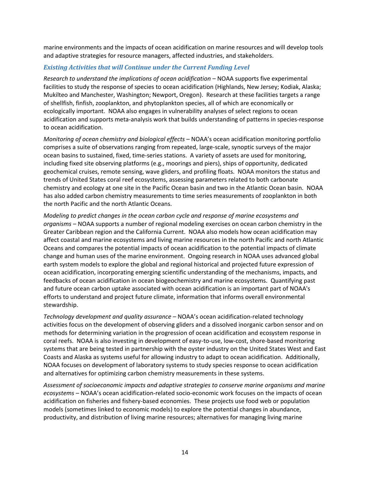marine environments and the impacts of ocean acidification on marine resources and will develop tools and adaptive strategies for resource managers, affected industries, and stakeholders.

#### *Existing Activities that will Continue under the Current Funding Level*

*Research to understand the implications of ocean acidification –* NOAA supports five experimental facilities to study the response of species to ocean acidification (Highlands, New Jersey; Kodiak, Alaska; Mukilteo and Manchester, Washington; Newport, Oregon). Research at these facilities targets a range of shellfish, finfish, zooplankton, and phytoplankton species, all of which are economically or ecologically important. NOAA also engages in vulnerability analyses of select regions to ocean acidification and supports meta-analysis work that builds understanding of patterns in species-response to ocean acidification.

*Monitoring of ocean chemistry and biological effects* – NOAA's ocean acidification monitoring portfolio comprises a suite of observations ranging from repeated, large-scale, synoptic surveys of the major ocean basins to sustained, fixed, time-series stations. A variety of assets are used for monitoring, including fixed site observing platforms (e.g., moorings and piers), ships of opportunity, dedicated geochemical cruises, remote sensing, wave gliders, and profiling floats. NOAA monitors the status and trends of United States coral reef ecosystems, assessing parameters related to both carbonate chemistry and ecology at one site in the Pacific Ocean basin and two in the Atlantic Ocean basin. NOAA has also added carbon chemistry measurements to time series measurements of zooplankton in both the north Pacific and the north Atlantic Oceans.

*Modeling to predict changes in the ocean carbon cycle and response of marine ecosystems and organisms –* NOAA supports a number of regional modeling exercises on ocean carbon chemistry in the Greater Caribbean region and the California Current. NOAA also models how ocean acidification may affect coastal and marine ecosystems and living marine resources in the north Pacific and north Atlantic Oceans and compares the potential impacts of ocean acidification to the potential impacts of climate change and human uses of the marine environment. Ongoing research in NOAA uses advanced global earth system models to explore the global and regional historical and projected future expression of ocean acidification, incorporating emerging scientific understanding of the mechanisms, impacts, and feedbacks of ocean acidification in ocean biogeochemistry and marine ecosystems. Quantifying past and future ocean carbon uptake associated with ocean acidification is an important part of NOAA's efforts to understand and project future climate, information that informs overall environmental stewardship.

*Technology development and quality assurance –* NOAA's ocean acidification-related technology activities focus on the development of observing gliders and a dissolved inorganic carbon sensor and on methods for determining variation in the progression of ocean acidification and ecosystem response in coral reefs. NOAA is also investing in development of easy-to-use, low-cost, shore-based monitoring systems that are being tested in partnership with the oyster industry on the United States West and East Coasts and Alaska as systems useful for allowing industry to adapt to ocean acidification. Additionally, NOAA focuses on development of laboratory systems to study species response to ocean acidification and alternatives for optimizing carbon chemistry measurements in these systems.

*Assessment of socioeconomic impacts and adaptive strategies to conserve marine organisms and marine ecosystems –* NOAA's ocean acidification-related socio-economic work focuses on the impacts of ocean acidification on fisheries and fishery-based economies. These projects use food web or population models (sometimes linked to economic models) to explore the potential changes in abundance, productivity, and distribution of living marine resources; alternatives for managing living marine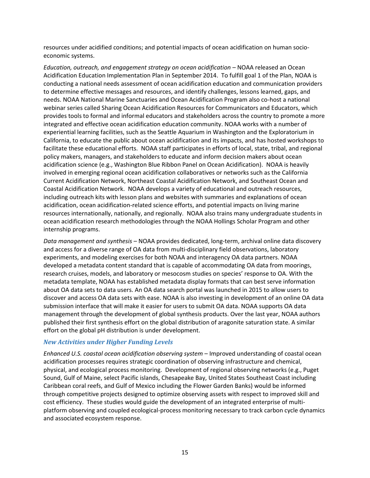resources under acidified conditions; and potential impacts of ocean acidification on human socioeconomic systems.

*Education, outreach, and engagement strategy on ocean acidification –* NOAA released an Ocean Acidification Education Implementation Plan in September 2014. To fulfill goal 1 of the Plan, NOAA is conducting a national needs assessment of ocean acidification education and communication providers to determine effective messages and resources, and identify challenges, lessons learned, gaps, and needs. NOAA National Marine Sanctuaries and Ocean Acidification Program also co-host a national webinar series called Sharing Ocean Acidification Resources for Communicators and Educators, which provides tools to formal and informal educators and stakeholders across the country to promote a more integrated and effective ocean acidification education community. NOAA works with a number of experiential learning facilities, such as the Seattle Aquarium in Washington and the Exploratorium in California, to educate the public about ocean acidification and its impacts, and has hosted workshops to facilitate these educational efforts. NOAA staff participates in efforts of local, state, tribal, and regional policy makers, managers, and stakeholders to educate and inform decision makers about ocean acidification science (e.g., Washington Blue Ribbon Panel on Ocean Acidification). NOAA is heavily involved in emerging regional ocean acidification collaboratives or networks such as the California Current Acidification Network, Northeast Coastal Acidification Network, and Southeast Ocean and Coastal Acidification Network. NOAA develops a variety of educational and outreach resources, including outreach kits with lesson plans and websites with summaries and explanations of ocean acidification, ocean acidification-related science efforts, and potential impacts on living marine resources internationally, nationally, and regionally. NOAA also trains many undergraduate students in ocean acidification research methodologies through the NOAA Hollings Scholar Program and other internship programs.

*Data management and synthesis –* NOAA provides dedicated, long-term, archival online data discovery and access for a diverse range of OA data from multi-disciplinary field observations, laboratory experiments, and modeling exercises for both NOAA and interagency OA data partners. NOAA developed a metadata content standard that is capable of accommodating OA data from moorings, research cruises, models, and laboratory or mesocosm studies on species' response to OA. With the metadata template, NOAA has established metadata display formats that can best serve information about OA data sets to data users. An OA data search portal was launched in 2015 to allow users to discover and access OA data sets with ease. NOAA is also investing in development of an online OA data submission interface that will make it easier for users to submit OA data. NOAA supports OA data management through the development of global synthesis products. Over the last year, NOAA authors published their first synthesis effort on the global distribution of aragonite saturation state. A similar effort on the global pH distribution is under development.

#### *New Activities under Higher Funding Levels*

*Enhanced U.S. coastal ocean acidification observing system* – Improved understanding of coastal ocean acidification processes requires strategic coordination of observing infrastructure and chemical, physical, and ecological process monitoring. Development of regional observing networks (e.g., Puget Sound, Gulf of Maine, select Pacific islands, Chesapeake Bay, United States Southeast Coast including Caribbean coral reefs, and Gulf of Mexico including the Flower Garden Banks) would be informed through competitive projects designed to optimize observing assets with respect to improved skill and cost efficiency. These studies would guide the development of an integrated enterprise of multiplatform observing and coupled ecological-process monitoring necessary to track carbon cycle dynamics and associated ecosystem response.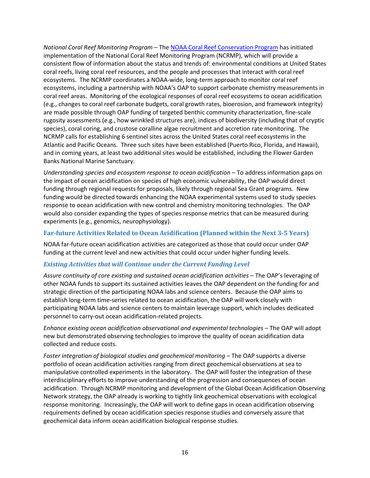*National Coral Reef Monitoring Program* – The [NOAA Coral Reef Conservation Program](http://coralreef.noaa.gov/) has initiated implementation of the National Coral Reef Monitoring Program (NCRMP), which will provide a consistent flow of information about the status and trends of: environmental conditions at United States coral reefs, living coral reef resources, and the people and processes that interact with coral reef ecosystems. The NCRMP coordinates a NOAA-wide, long-term approach to monitor coral reef ecosystems, including a partnership with NOAA's OAP to support carbonate chemistry measurements in coral reef areas. Monitoring of the ecological responses of coral reef ecosystems to ocean acidification (e.g., changes to coral reef carbonate budgets, coral growth rates, bioerosion, and framework integrity) are made possible through OAP funding of targeted benthic community characterization, fine-scale rugosity assessments (e.g., how wrinkled structures are), indices of biodiversity (including that of cryptic species), coral coring, and crustose coralline algae recruitment and accretion rate monitoring. The NCRMP calls for establishing 6 sentinel sites across the United States coral reef ecosystems in the Atlantic and Pacific Oceans. Three such sites have been established (Puerto Rico, Florida, and Hawaii), and in coming years, at least two additional sites would be established, including the Flower Garden Banks National Marine Sanctuary.

*Understanding species and ecosystem response to ocean acidification* – To address information gaps on the impact of ocean acidification on species of high economic vulnerability, the OAP would direct funding through regional requests for proposals, likely through regional Sea Grant programs. New funding would be directed towards enhancing the NOAA experimental systems used to study species response to ocean acidification with new control and chemistry monitoring technologies. The OAP would also consider expanding the types of species response metrics that can be measured during experiments (e.g., genomics, neurophysiology).

#### **Far-future Activities Related to Ocean Acidification (Planned within the Next 3-5 Years)**

NOAA far-future ocean acidification activities are categorized as those that could occur under OAP funding at the current level and new activities that could occur under higher funding levels.

#### *Existing Activities that will Continue under the Current Funding Level*

*Assure continuity of core existing and sustained ocean acidification activities* – The OAP's leveraging of other NOAA funds to support its sustained activities leaves the OAP dependent on the funding for and strategic direction of the participating NOAA labs and science centers. Because the OAP aims to establish long-term time-series related to ocean acidification, the OAP will work closely with participating NOAA labs and science centers to maintain leverage support, which includes dedicated personnel to carry-out ocean acidification-related projects.

*Enhance existing ocean acidification observational and experimental technologies* – The OAP will adopt new but demonstrated observing technologies to improve the quality of ocean acidification data collected and reduce costs.

*Foster integration of biological studies and geochemical monitoring* – The OAP supports a diverse portfolio of ocean acidification activities ranging from direct geochemical observations at sea to manipulative controlled experiments in the laboratory. The OAP will foster the integration of these interdisciplinary efforts to improve understanding of the progression and consequences of ocean acidification. Through NCRMP monitoring and development of the Global Ocean Acidification Observing Network strategy, the OAP already is working to tightly link geochemical observations with ecological response monitoring. Increasingly, the OAP will work to define gaps in ocean acidification observing requirements defined by ocean acidification species response studies and conversely assure that geochemical data inform ocean acidification biological response studies.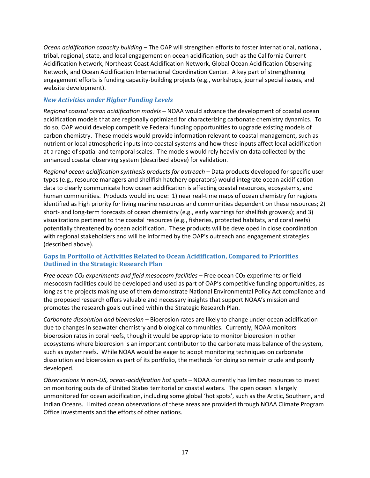*Ocean acidification capacity building –* The OAP will strengthen efforts to foster international, national, tribal, regional, state, and local engagement on ocean acidification, such as the California Current Acidification Network, Northeast Coast Acidification Network, Global Ocean Acidification Observing Network, and Ocean Acidification International Coordination Center. A key part of strengthening engagement efforts is funding capacity-building projects (e.g., workshops, journal special issues, and website development).

#### *New Activities under Higher Funding Levels*

*Regional coastal ocean acidification models* – NOAA would advance the development of coastal ocean acidification models that are regionally optimized for characterizing carbonate chemistry dynamics. To do so, OAP would develop competitive Federal funding opportunities to upgrade existing models of carbon chemistry. These models would provide information relevant to coastal management, such as nutrient or local atmospheric inputs into coastal systems and how these inputs affect local acidification at a range of spatial and temporal scales. The models would rely heavily on data collected by the enhanced coastal observing system (described above) for validation.

*Regional ocean acidification synthesis products for outreach* – Data products developed for specific user types (e.g., resource managers and shellfish hatchery operators) would integrate ocean acidification data to clearly communicate how ocean acidification is affecting coastal resources, ecosystems, and human communities. Products would include: 1) near real-time maps of ocean chemistry for regions identified as high priority for living marine resources and communities dependent on these resources; 2) short- and long-term forecasts of ocean chemistry (e.g., early warnings for shellfish growers); and 3) visualizations pertinent to the coastal resources (e.g., fisheries, protected habitats, and coral reefs) potentially threatened by ocean acidification. These products will be developed in close coordination with regional stakeholders and will be informed by the OAP's outreach and engagement strategies (described above).

#### **Gaps in Portfolio of Activities Related to Ocean Acidification, Compared to Priorities Outlined in the Strategic Research Plan**

*Free ocean CO<sub>2</sub> experiments and field mesocosm facilities* – Free ocean CO<sub>2</sub> experiments or field mesocosm facilities could be developed and used as part of OAP's competitive funding opportunities, as long as the projects making use of them demonstrate National Environmental Policy Act compliance and the proposed research offers valuable and necessary insights that support NOAA's mission and promotes the research goals outlined within the Strategic Research Plan.

*Carbonate dissolution and bioerosion* – Bioerosion rates are likely to change under ocean acidification due to changes in seawater chemistry and biological communities. Currently, NOAA monitors bioerosion rates in coral reefs, though it would be appropriate to monitor bioerosion in other ecosystems where bioerosion is an important contributor to the carbonate mass balance of the system, such as oyster reefs. While NOAA would be eager to adopt monitoring techniques on carbonate dissolution and bioerosion as part of its portfolio, the methods for doing so remain crude and poorly developed.

*Observations in non-US, ocean-acidification hot spots* – NOAA currently has limited resources to invest on monitoring outside of United States territorial or coastal waters. The open ocean is largely unmonitored for ocean acidification, including some global 'hot spots', such as the Arctic, Southern, and Indian Oceans. Limited ocean observations of these areas are provided through NOAA Climate Program Office investments and the efforts of other nations.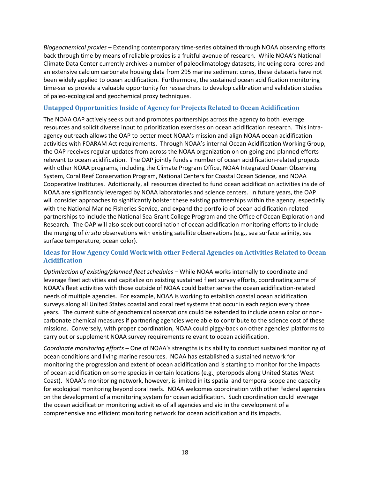*Biogeochemical proxies* – Extending contemporary time-series obtained through NOAA observing efforts back through time by means of reliable proxies is a fruitful avenue of research. While NOAA's National Climate Data Center currently archives a number of paleoclimatology datasets, including coral cores and an extensive calcium carbonate housing data from 295 marine sediment cores, these datasets have not been widely applied to ocean acidification. Furthermore, the sustained ocean acidification monitoring time-series provide a valuable opportunity for researchers to develop calibration and validation studies of paleo-ecological and geochemical proxy techniques.

#### **Untapped Opportunities Inside of Agency for Projects Related to Ocean Acidification**

The NOAA OAP actively seeks out and promotes partnerships across the agency to both leverage resources and solicit diverse input to prioritization exercises on ocean acidification research. This intraagency outreach allows the OAP to better meet NOAA's mission and align NOAA ocean acidification activities with FOARAM Act requirements. Through NOAA's internal Ocean Acidification Working Group, the OAP receives regular updates from across the NOAA organization on on-going and planned efforts relevant to ocean acidification. The OAP jointly funds a number of ocean acidification-related projects with other NOAA programs, including the Climate Program Office, NOAA Integrated Ocean Observing System, Coral Reef Conservation Program, National Centers for Coastal Ocean Science, and NOAA Cooperative Institutes. Additionally, all resources directed to fund ocean acidification activities inside of NOAA are significantly leveraged by NOAA laboratories and science centers. In future years, the OAP will consider approaches to significantly bolster these existing partnerships within the agency, especially with the National Marine Fisheries Service, and expand the portfolio of ocean acidification-related partnerships to include the National Sea Grant College Program and the Office of Ocean Exploration and Research*.* The OAP will also seek out coordination of ocean acidification monitoring efforts to include the merging of *in situ* observations with existing satellite observations (e.g., sea surface salinity, sea surface temperature, ocean color).

#### **Ideas for How Agency Could Work with other Federal Agencies on Activities Related to Ocean Acidification**

*Optimization of existing/planned fleet schedules –* While NOAA works internally to coordinate and leverage fleet activities and capitalize on existing sustained fleet survey efforts, coordinating some of NOAA's fleet activities with those outside of NOAA could better serve the ocean acidification-related needs of multiple agencies. For example, NOAA is working to establish coastal ocean acidification surveys along all United States coastal and coral reef systems that occur in each region every three years. The current suite of geochemical observations could be extended to include ocean color or noncarbonate chemical measures if partnering agencies were able to contribute to the science cost of these missions. Conversely, with proper coordination, NOAA could piggy-back on other agencies' platforms to carry out or supplement NOAA survey requirements relevant to ocean acidification.

*Coordinate monitoring efforts –* One of NOAA's strengths is its ability to conduct sustained monitoring of ocean conditions and living marine resources. NOAA has established a sustained network for monitoring the progression and extent of ocean acidification and is starting to monitor for the impacts of ocean acidification on some species in certain locations (e.g., pteropods along United States West Coast). NOAA's monitoring network, however, is limited in its spatial and temporal scope and capacity for ecological monitoring beyond coral reefs. NOAA welcomes coordination with other Federal agencies on the development of a monitoring system for ocean acidification. Such coordination could leverage the ocean acidification monitoring activities of all agencies and aid in the development of a comprehensive and efficient monitoring network for ocean acidification and its impacts.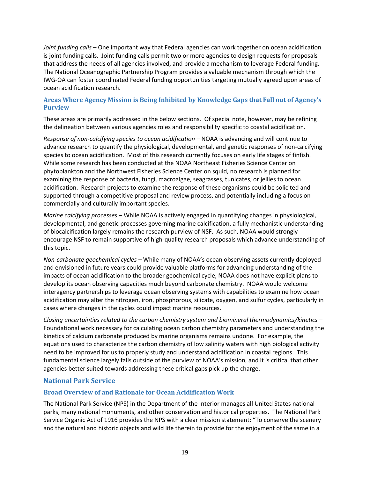*Joint funding calls* – One important way that Federal agencies can work together on ocean acidification is joint funding calls. Joint funding calls permit two or more agencies to design requests for proposals that address the needs of all agencies involved, and provide a mechanism to leverage Federal funding. The National Oceanographic Partnership Program provides a valuable mechanism through which the IWG-OA can foster coordinated Federal funding opportunities targeting mutually agreed upon areas of ocean acidification research.

#### **Areas Where Agency Mission is Being Inhibited by Knowledge Gaps that Fall out of Agency's Purview**

These areas are primarily addressed in the below sections. Of special note, however, may be refining the delineation between various agencies roles and responsibility specific to coastal acidification.

*Response of non-calcifying species to ocean acidification –* NOAA is advancing and will continue to advance research to quantify the physiological, developmental, and genetic responses of non-calcifying species to ocean acidification. Most of this research currently focuses on early life stages of finfish. While some research has been conducted at the NOAA Northeast Fisheries Science Center on phytoplankton and the Northwest Fisheries Science Center on squid, no research is planned for examining the response of bacteria, fungi, macroalgae, seagrasses, tunicates, or jellies to ocean acidification. Research projects to examine the response of these organisms could be solicited and supported through a competitive proposal and review process, and potentially including a focus on commercially and culturally important species.

*Marine calcifying processes –* While NOAA is actively engaged in quantifying changes in physiological, developmental, and genetic processes governing marine calcification, a fully mechanistic understanding of biocalcification largely remains the research purview of NSF. As such, NOAA would strongly encourage NSF to remain supportive of high-quality research proposals which advance understanding of this topic.

*Non-carbonate geochemical cycles –* While many of NOAA's ocean observing assets currently deployed and envisioned in future years could provide valuable platforms for advancing understanding of the impacts of ocean acidification to the broader geochemical cycle, NOAA does not have explicit plans to develop its ocean observing capacities much beyond carbonate chemistry. NOAA would welcome interagency partnerships to leverage ocean observing systems with capabilities to examine how ocean acidification may alter the nitrogen, iron, phosphorous, silicate, oxygen, and sulfur cycles, particularly in cases where changes in the cycles could impact marine resources.

*Closing uncertainties related to the carbon chemistry system and biomineral thermodynamics/kinetics –* Foundational work necessary for calculating ocean carbon chemistry parameters and understanding the kinetics of calcium carbonate produced by marine organisms remains undone. For example, the equations used to characterize the carbon chemistry of low salinity waters with high biological activity need to be improved for us to properly study and understand acidification in coastal regions. This fundamental science largely falls outside of the purview of NOAA's mission, and it is critical that other agencies better suited towards addressing these critical gaps pick up the charge.

#### **National Park Service**

#### **Broad Overview of and Rationale for Ocean Acidification Work**

The National Park Service (NPS) in the Department of the Interior manages all United States national parks, many national monuments, and other conservation and historical properties. The National Park Service Organic Act of 1916 provides the NPS with a clear mission statement: "To conserve the scenery and the natural and historic objects and wild life therein to provide for the enjoyment of the same in a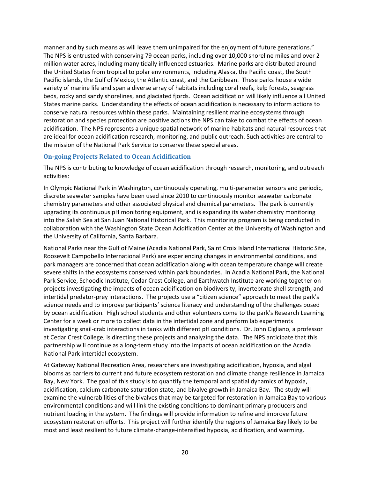manner and by such means as will leave them unimpaired for the enjoyment of future generations." The NPS is entrusted with conserving 79 ocean parks, including over 10,000 shoreline miles and over 2 million water acres, including many tidally influenced estuaries. Marine parks are distributed around the United States from tropical to polar environments, including Alaska, the Pacific coast, the South Pacific islands, the Gulf of Mexico, the Atlantic coast, and the Caribbean. These parks house a wide variety of marine life and span a diverse array of habitats including coral reefs, kelp forests, seagrass beds, rocky and sandy shorelines, and glaciated fjords. Ocean acidification will likely influence all United States marine parks. Understanding the effects of ocean acidification is necessary to inform actions to conserve natural resources within these parks. Maintaining resilient marine ecosystems through restoration and species protection are positive actions the NPS can take to combat the effects of ocean acidification. The NPS represents a unique spatial network of marine habitats and natural resources that are ideal for ocean acidification research, monitoring, and public outreach. Such activities are central to the mission of the National Park Service to conserve these special areas.

#### **On-going Projects Related to Ocean Acidification**

The NPS is contributing to knowledge of ocean acidification through research, monitoring, and outreach activities:

In Olympic National Park in Washington, continuously operating, multi-parameter sensors and periodic, discrete seawater samples have been used since 2010 to continuously monitor seawater carbonate chemistry parameters and other associated physical and chemical parameters. The park is currently upgrading its continuous pH monitoring equipment, and is expanding its water chemistry monitoring into the Salish Sea at San Juan National Historical Park. This monitoring program is being conducted in collaboration with the Washington State Ocean Acidification Center at the University of Washington and the University of California, Santa Barbara.

National Parks near the Gulf of Maine (Acadia National Park, Saint Croix Island International Historic Site, Roosevelt Campobello International Park) are experiencing changes in environmental conditions, and park managers are concerned that ocean acidification along with ocean temperature change will create severe shifts in the ecosystems conserved within park boundaries. In Acadia National Park, the National Park Service, Schoodic Institute, Cedar Crest College, and Earthwatch Institute are working together on projects investigating the impacts of ocean acidification on biodiversity, invertebrate shell strength, and intertidal predator-prey interactions. The projects use a "citizen science" approach to meet the park's science needs and to improve participants' science literacy and understanding of the challenges posed by ocean acidification. High school students and other volunteers come to the park's Research Learning Center for a week or more to collect data in the intertidal zone and perform lab experiments investigating snail-crab interactions in tanks with different pH conditions. Dr. John Cigliano, a professor at Cedar Crest College, is directing these projects and analyzing the data. The NPS anticipate that this partnership will continue as a long-term study into the impacts of ocean acidification on the Acadia National Park intertidal ecosystem.

At Gateway National Recreation Area, researchers are investigating acidification, hypoxia, and algal blooms as barriers to current and future ecosystem restoration and climate change resilience in Jamaica Bay, New York. The goal of this study is to quantify the temporal and spatial dynamics of hypoxia, acidification, calcium carbonate saturation state, and bivalve growth in Jamaica Bay. The study will examine the vulnerabilities of the bivalves that may be targeted for restoration in Jamaica Bay to various environmental conditions and will link the existing conditions to dominant primary producers and nutrient loading in the system. The findings will provide information to refine and improve future ecosystem restoration efforts. This project will further identify the regions of Jamaica Bay likely to be most and least resilient to future climate-change-intensified hypoxia, acidification, and warming.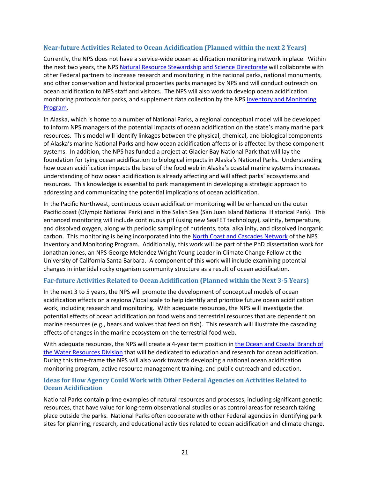#### **Near-future Activities Related to Ocean Acidification (Planned within the next 2 Years)**

Currently, the NPS does not have a service-wide ocean acidification monitoring network in place. Within the next two years, the NPS [Natural Resource Stewardship and Science Directorate](http://www.nps.gov/orgs/1778/index.htm) will collaborate with other Federal partners to increase research and monitoring in the national parks, national monuments, and other conservation and historical properties parks managed by NPS and will conduct outreach on ocean acidification to NPS staff and visitors. The NPS will also work to develop ocean acidification monitoring protocols for parks, and supplement data collection by the NPS Inventory and Monitoring [Program.](http://science.nature.nps.gov/im/)

In Alaska, which is home to a number of National Parks, a regional conceptual model will be developed to inform NPS managers of the potential impacts of ocean acidification on the state's many marine park resources. This model will identify linkages between the physical, chemical, and biological components of Alaska's marine National Parks and how ocean acidification affects or is affected by these component systems. In addition, the NPS has funded a project at Glacier Bay National Park that will lay the foundation for tying ocean acidification to biological impacts in Alaska's National Parks. Understanding how ocean acidification impacts the base of the food web in Alaska's coastal marine systems increases understanding of how ocean acidification is already affecting and will affect parks' ecosystems and resources. This knowledge is essential to park management in developing a strategic approach to addressing and communicating the potential implications of ocean acidification.

In the Pacific Northwest, continuous ocean acidification monitoring will be enhanced on the outer Pacific coast (Olympic National Park) and in the Salish Sea (San Juan Island National Historical Park). This enhanced monitoring will include continuous pH (using new SeaFET technology), salinity, temperature, and dissolved oxygen, along with periodic sampling of nutrients, total alkalinity, and dissolved inorganic carbon. This monitoring is being incorporated into th[e North Coast and Cascades Network](http://science.nature.nps.gov/im/units/nccn/) of the NPS Inventory and Monitoring Program. Additionally, this work will be part of the PhD dissertation work for Jonathan Jones, an NPS George Melendez Wright Young Leader in Climate Change Fellow at the University of California Santa Barbara. A component of this work will include examining potential changes in intertidal rocky organism community structure as a result of ocean acidification.

#### **Far-future Activities Related to Ocean Acidification (Planned within the Next 3-5 Years)**

In the next 3 to 5 years, the NPS will promote the development of conceptual models of ocean acidification effects on a regional/local scale to help identify and prioritize future ocean acidification work, including research and monitoring. With adequate resources, the NPS will investigate the potential effects of ocean acidification on food webs and terrestrial resources that are dependent on marine resources (e.g., bears and wolves that feed on fish). This research will illustrate the cascading effects of changes in the marine ecosystem on the terrestrial food web.

With adequate resources, the NPS will create a 4-year term position in [the Ocean and Coastal Branch of](http://www.nature.nps.gov/water/)  [the Water Resources Division](http://www.nature.nps.gov/water/) that will be dedicated to education and research for ocean acidification. During this time-frame the NPS will also work towards developing a national ocean acidification monitoring program, active resource management training, and public outreach and education.

#### **Ideas for How Agency Could Work with Other Federal Agencies on Activities Related to Ocean Acidification**

National Parks contain prime examples of natural resources and processes, including significant genetic resources, that have value for long-term observational studies or as control areas for research taking place outside the parks. National Parks often cooperate with other Federal agencies in identifying park sites for planning, research, and educational activities related to ocean acidification and climate change.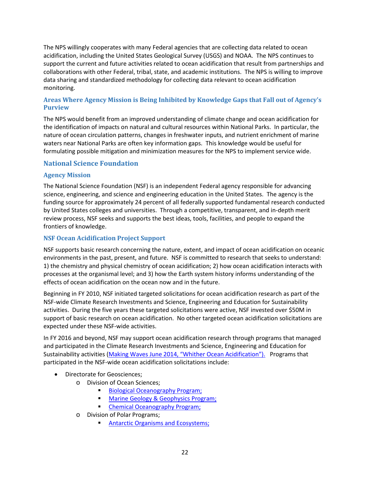The NPS willingly cooperates with many Federal agencies that are collecting data related to ocean acidification, including the United States Geological Survey (USGS) and NOAA. The NPS continues to support the current and future activities related to ocean acidification that result from partnerships and collaborations with other Federal, tribal, state, and academic institutions. The NPS is willing to improve data sharing and standardized methodology for collecting data relevant to ocean acidification monitoring.

#### **Areas Where Agency Mission is Being Inhibited by Knowledge Gaps that Fall out of Agency's Purview**

The NPS would benefit from an improved understanding of climate change and ocean acidification for the identification of impacts on natural and cultural resources within National Parks. In particular, the nature of ocean circulation patterns, changes in freshwater inputs, and nutrient enrichment of marine waters near National Parks are often key information gaps. This knowledge would be useful for formulating possible mitigation and minimization measures for the NPS to implement service wide.

#### **National Science Foundation**

#### **Agency Mission**

The National Science Foundation (NSF) is an independent Federal agency responsible for advancing science, engineering, and science and engineering education in the United States. The agency is the funding source for approximately 24 percent of all federally supported fundamental research conducted by United States colleges and universities. Through a competitive, transparent, and in-depth merit review process, NSF seeks and supports the best ideas, tools, facilities, and people to expand the frontiers of knowledge.

#### **NSF Ocean Acidification Project Support**

NSF supports basic research concerning the nature, extent, and impact of ocean acidification on oceanic environments in the past, present, and future. NSF is committed to research that seeks to understand: 1) the chemistry and physical chemistry of ocean acidification; 2) how ocean acidification interacts with processes at the organismal level; and 3) how the Earth system history informs understanding of the effects of ocean acidification on the ocean now and in the future.

Beginning in FY 2010, NSF initiated targeted solicitations for ocean acidification research as part of the NSF-wide Climate Research Investments and Science, Engineering and Education for Sustainability activities. During the five years these targeted solicitations were active, NSF invested over \$50M in support of basic research on ocean acidification. No other targeted ocean acidification solicitations are expected under these NSF-wide activities.

In FY 2016 and beyond, NSF may support ocean acidification research through programs that managed and participated in the Climate Research Investments and Science, Engineering and Education for Sustainability activities ([Making Waves June 2014, "Whither Ocean Acidification"\).](http://www.nsf.gov/pubs/2014/nsf14067/nsf14067.pdf) Programs that participated in the NSF-wide ocean acidification solicitations include:

- Directorate for Geosciences;
	- o Division of Ocean Sciences;
		- [Biological Oceanography Program;](http://www.nsf.gov/funding/pgm_summ.jsp?pims_id=11696&org=OCE)
		- [Marine Geology & Geophysics Program;](http://www.nsf.gov/funding/pgm_summ.jsp?pims_id=11726&org=OCE&from=home)
		- **Chemical Oceanography Program;**
	- o Division of Polar Programs;
		- [Antarctic Organisms and Ecosystems;](http://www.nsf.gov/funding/pgm_summ.jsp?pims_id=13421)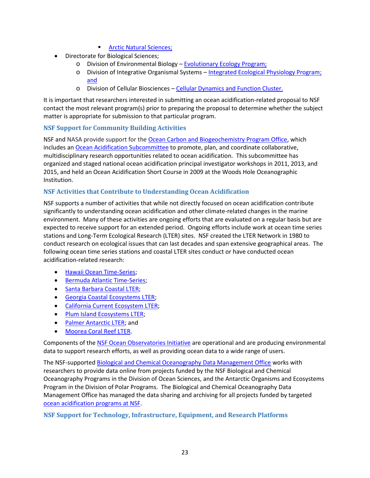- **[Arctic Natural Sciences;](http://www.nsf.gov/funding/pgm_summ.jsp?pims_id=13424&org=GEO)**
- Directorate for Biological Sciences;
	- o Division of Environmental Biology [Evolutionary Ecology Program;](http://www.nsf.gov/funding/pgm_summ.jsp?pims_id=503664&org=DEB)
	- o Division of Integrative Organismal Systems [Integrated Ecological Physiology Program;](http://www.nsf.gov/funding/pgm_summ.jsp?pims_id=504679&org=IOS&from=home) and
	- o Division of Cellular Biosciences [Cellular Dynamics and Function Cluster.](http://www.nsf.gov/funding/pgm_summ.jsp?pims_id=504861&org=MCB&from=home)

It is important that researchers interested in submitting an ocean acidification-related proposal to NSF contact the most relevant program(s) prior to preparing the proposal to determine whether the subject matter is appropriate for submission to that particular program.

#### **NSF Support for Community Building Activities**

NSF and NASA provide support for the [Ocean Carbon and Biogeochemistry Program Office,](http://www.us-ocb.org/) which includes an [Ocean Acidification Subcommittee](http://www.us-ocb.org/about/subcommittees.html) to promote, plan, and coordinate collaborative, multidisciplinary research opportunities related to ocean acidification. This subcommittee has organized and staged national ocean acidification principal investigator workshops in 2011, 2013, and 2015, and held an Ocean Acidification Short Course in 2009 at the Woods Hole Oceanographic Institution.

#### **NSF Activities that Contribute to Understanding Ocean Acidification**

NSF supports a number of activities that while not directly focused on ocean acidification contribute significantly to understanding ocean acidification and other climate-related changes in the marine environment. Many of these activities are ongoing efforts that are evaluated on a regular basis but are expected to receive support for an extended period. Ongoing efforts include work at ocean time series stations and Long-Term Ecological Research (LTER) sites. NSF created the LTER Network in 1980 to conduct research on ecological issues that can last decades and span extensive geographical areas. The following ocean time series stations and coastal LTER sites conduct or have conducted ocean acidification-related research:

- [Hawaii Ocean Time-Series;](http://hahana.soest.hawaii.edu/hot/)
- **Bermuda Atlantic Time-Series:**
- **[Santa Barbara Coastal LTER;](http://www.lternet.edu/sites/sbc)**
- **[Georgia Coastal Ecosystems LTER;](http://www.lternet.edu/sites/gce)**
- [California Current Ecosystem LTER;](http://www.lternet.edu/sites/cce)
- [Plum Island Ecosystems LTER;](http://www.lternet.edu/sites/pie)
- [Palmer Antarctic LTER;](http://www.lternet.edu/sites/pal) and
- [Moorea Coral Reef LTER.](http://www.lternet.edu/sites/mcr)

Components of th[e NSF Ocean Observatories](http://oceanobservatories.org/) [Initiative](http://oceanobservatories.org/) are operational and are producing environmental data to support research efforts, as well as providing ocean data to a wide range of users.

The NSF-supported [Biological and Chemical Oceanography Data Management Office](http://www.bco-dmo.org/) works with researchers to provide data online from projects funded by the NSF Biological and Chemical Oceanography Programs in the Division of Ocean Sciences, and the Antarctic Organisms and Ecosystems Program in the Division of Polar Programs. The Biological and Chemical Oceanography Data Management Office has managed the data sharing and archiving for all projects funded by targeted [ocean acidification programs at NSF.](http://www.bco-dmo.org/program/2030)

#### **NSF Support for Technology, Infrastructure, Equipment, and Research Platforms**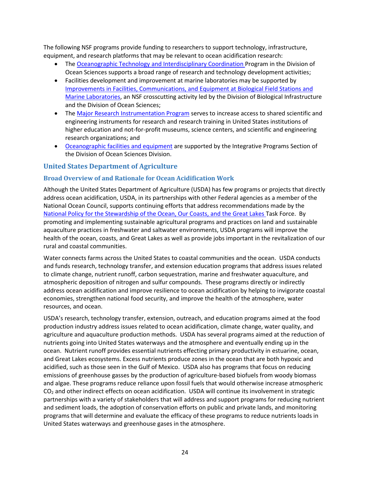The following NSF programs provide funding to researchers to support technology, infrastructure, equipment, and research platforms that may be relevant to ocean acidification research:

- The [Oceanographic Technology and Interdisciplinary Coordination P](http://www.nsf.gov/funding/pgm_summ.jsp?pims_id=12724)rogram in the Division of Ocean Sciences supports a broad range of research and technology development activities;
- Facilities development and improvement at marine laboratories may be supported by [Improvements in Facilities, Communications, and Equipment at Biological Field Stations and](http://www.nsf.gov/funding/pgm_summ.jsp?pims_id=5449)  [Marine Laboratories,](http://www.nsf.gov/funding/pgm_summ.jsp?pims_id=5449) an NSF crosscutting activity led by the Division of Biological Infrastructure and the Division of Ocean Sciences;
- The [Major Research Instrumentation Program](http://www.nsf.gov/funding/pgm_summ.jsp?pims_id=5260) serves to increase access to shared scientific and engineering instruments for research and research training in United States institutions of higher education and not-for-profit museums, science centers, and scientific and engineering research organizations; and
- [Oceanographic facilities and equipment](http://www.nsf.gov/funding/pgm_summ.jsp?pims_id=504848) are supported by the Integrative Programs Section of the Division of Ocean Sciences Division.

#### **United States Department of Agriculture**

#### **Broad Overview of and Rationale for Ocean Acidification Work**

Although the United States Department of Agriculture (USDA) has few programs or projects that directly address ocean acidification, USDA, in its partnerships with other Federal agencies as a member of the National Ocean Council, supports continuing efforts that address recommendations made by the [National Policy for the Stewardship of the Ocean, Our Coasts, and](https://www.whitehouse.gov/administration/eop/oceans) the Great Lakes Task Force. By promoting and implementing sustainable agricultural programs and practices on land and sustainable aquaculture practices in freshwater and saltwater environments, USDA programs will improve the health of the ocean, coasts, and Great Lakes as well as provide jobs important in the revitalization of our rural and coastal communities.

Water connects farms across the United States to coastal communities and the ocean. USDA conducts and funds research, technology transfer, and extension education programs that address issues related to climate change, nutrient runoff, carbon sequestration, marine and freshwater aquaculture, and atmospheric deposition of nitrogen and sulfur compounds. These programs directly or indirectly address ocean acidification and improve resilience to ocean acidification by helping to invigorate coastal economies, strengthen national food security, and improve the health of the atmosphere, water resources, and ocean.

USDA's research, technology transfer, extension, outreach, and education programs aimed at the food production industry address issues related to ocean acidification, climate change, water quality, and agriculture and aquaculture production methods. USDA has several programs aimed at the reduction of nutrients going into United States waterways and the atmosphere and eventually ending up in the ocean. Nutrient runoff provides essential nutrients effecting primary productivity in estuarine, ocean, and Great Lakes ecosystems. Excess nutrients produce zones in the ocean that are both hypoxic and acidified, such as those seen in the Gulf of Mexico. USDA also has programs that focus on reducing emissions of greenhouse gasses by the production of agriculture-based biofuels from woody biomass and algae. These programs reduce reliance upon fossil fuels that would otherwise increase atmospheric CO<sup>2</sup> and other indirect effects on ocean acidification. USDA will continue its involvement in strategic partnerships with a variety of stakeholders that will address and support programs for reducing nutrient and sediment loads, the adoption of conservation efforts on public and private lands, and monitoring programs that will determine and evaluate the efficacy of these programs to reduce nutrients loads in United States waterways and greenhouse gases in the atmosphere.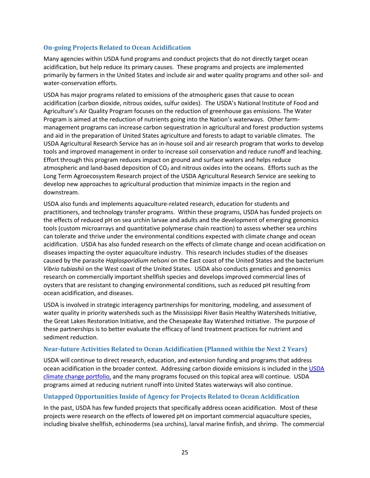#### **On-going Projects Related to Ocean Acidification**

Many agencies within USDA fund programs and conduct projects that do not directly target ocean acidification, but help reduce its primary causes. These programs and projects are implemented primarily by farmers in the United States and include air and water quality programs and other soil- and water-conservation efforts.

USDA has major programs related to emissions of the atmospheric gases that cause to ocean acidification (carbon dioxide, nitrous oxides, sulfur oxides). The USDA's National Institute of Food and Agriculture's Air Quality Program focuses on the reduction of greenhouse gas emissions. The Water Program is aimed at the reduction of nutrients going into the Nation's waterways. Other farmmanagement programs can increase carbon sequestration in agricultural and forest production systems and aid in the preparation of United States agriculture and forests to adapt to variable climates. The USDA Agricultural Research Service has an in-house soil and air research program that works to develop tools and improved management in order to increase soil conservation and reduce runoff and leaching. Effort through this program reduces impact on ground and surface waters and helps reduce atmospheric and land-based deposition of  $CO<sub>2</sub>$  and nitrous oxides into the oceans. Efforts such as the Long Term Agroecosystem Research project of the USDA Agricultural Research Service are seeking to develop new approaches to agricultural production that minimize impacts in the region and downstream.

USDA also funds and implements aquaculture-related research, education for students and practitioners, and technology transfer programs. Within these programs, USDA has funded projects on the effects of reduced pH on sea urchin larvae and adults and the development of emerging genomics tools (custom microarrays and quantitative polymerase chain reaction) to assess whether sea urchins can tolerate and thrive under the environmental conditions expected with climate change and ocean acidification. USDA has also funded research on the effects of climate change and ocean acidification on diseases impacting the oyster aquaculture industry. This research includes studies of the diseases caused by the parasite *Haplosporidium nelsoni* on the East coast of the United States and the bacterium *Vibrio tubiashii* on the West coast of the United States. USDA also conducts genetics and genomics research on commercially important shellfish species and develops improved commercial lines of oysters that are resistant to changing environmental conditions, such as reduced pH resulting from ocean acidification, and diseases.

USDA is involved in strategic interagency partnerships for monitoring, modeling, and assessment of water quality in priority watersheds such as the Mississippi River Basin Healthy Watersheds Initiative, the Great Lakes Restoration Initiative, and the Chesapeake Bay Watershed Initiative. The purpose of these partnerships is to better evaluate the efficacy of land treatment practices for nutrient and sediment reduction.

#### **Near-future Activities Related to Ocean Acidification (Planned within the Next 2 Years)**

USDA will continue to direct research, education, and extension funding and programs that address ocean acidification in the broader context. Addressing carbon dioxide emissions is included in the USDA [climate change portfolio,](http://www.usda.gov/documents/climate-change-science-white-paper.pdf) and the many programs focused on this topical area will continue. USDA programs aimed at reducing nutrient runoff into United States waterways will also continue.

#### **Untapped Opportunities Inside of Agency for Projects Related to Ocean Acidification**

In the past, USDA has few funded projects that specifically address ocean acidification. Most of these projects were research on the effects of lowered pH on important commercial aquaculture species, including bivalve shellfish, echinoderms (sea urchins), larval marine finfish, and shrimp. The commercial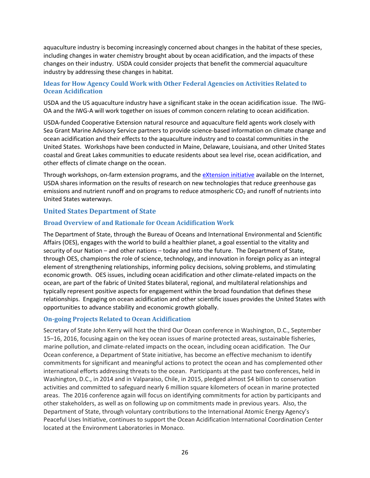aquaculture industry is becoming increasingly concerned about changes in the habitat of these species, including changes in water chemistry brought about by ocean acidification, and the impacts of these changes on their industry. USDA could consider projects that benefit the commercial aquaculture industry by addressing these changes in habitat.

#### **Ideas for How Agency Could Work with Other Federal Agencies on Activities Related to Ocean Acidification**

USDA and the US aquaculture industry have a significant stake in the ocean acidification issue. The IWG-OA and the IWG-A will work together on issues of common concern relating to ocean acidification.

USDA-funded Cooperative Extension natural resource and aquaculture field agents work closely with Sea Grant Marine Advisory Service partners to provide science-based information on climate change and ocean acidification and their effects to the aquaculture industry and to coastal communities in the United States. Workshops have been conducted in Maine, Delaware, Louisiana, and other United States coastal and Great Lakes communities to educate residents about sea level rise, ocean acidification, and other effects of climate change on the ocean.

Through workshops, on-farm extension programs, and the [eXtension initiative](http://www.extension.org/) available on the Internet, USDA shares information on the results of research on new technologies that reduce greenhouse gas emissions and nutrient runoff and on programs to reduce atmospheric  $CO<sub>2</sub>$  and runoff of nutrients into United States waterways.

#### **United States Department of State**

#### **Broad Overview of and Rationale for Ocean Acidification Work**

The Department of State, through the Bureau of Oceans and International Environmental and Scientific Affairs (OES), engages with the world to build a healthier planet, a goal essential to the vitality and security of our Nation – and other nations – today and into the future. The Department of State, through OES, champions the role of science, technology, and innovation in foreign policy as an integral element of strengthening relationships, informing policy decisions, solving problems, and stimulating economic growth. OES issues, including ocean acidification and other climate-related impacts on the ocean, are part of the fabric of United States bilateral, regional, and multilateral relationships and typically represent positive aspects for engagement within the broad foundation that defines these relationships. Engaging on ocean acidification and other scientific issues provides the United States with opportunities to advance stability and economic growth globally.

#### **On-going Projects Related to Ocean Acidification**

Secretary of State John Kerry will host the third Our Ocean conference in Washington, D.C., September 15–16, 2016, focusing again on the key ocean issues of marine protected areas, sustainable fisheries, marine pollution, and climate-related impacts on the ocean, including ocean acidification. The Our Ocean conference, a Department of State initiative, has become an effective mechanism to identify commitments for significant and meaningful actions to protect the ocean and has complemented other international efforts addressing threats to the ocean. Participants at the past two conferences, held in Washington, D.C., in 2014 and in Valparaiso, Chile, in 2015, pledged almost \$4 billion to conservation activities and committed to safeguard nearly 6 million square kilometers of ocean in marine protected areas. The 2016 conference again will focus on identifying commitments for action by participants and other stakeholders, as well as on following up on commitments made in previous years. Also, the Department of State, through voluntary contributions to the International Atomic Energy Agency's Peaceful Uses Initiative, continues to support the Ocean Acidification International Coordination Center located at the Environment Laboratories in Monaco.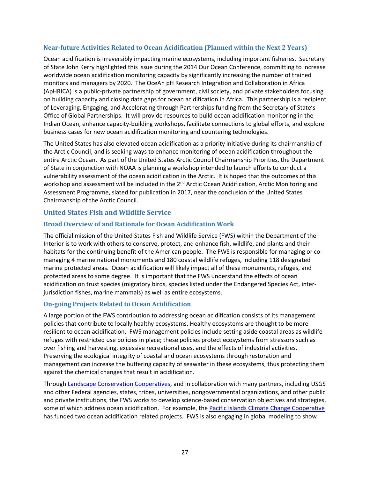#### **Near-future Activities Related to Ocean Acidification (Planned within the Next 2 Years)**

Ocean acidification is irreversibly impacting marine ecosystems, including important fisheries. Secretary of State John Kerry highlighted this issue during the 2014 Our Ocean Conference, committing to increase worldwide ocean acidification monitoring capacity by significantly increasing the number of trained monitors and managers by 2020. The OceAn pH Research Integration and Collaboration in Africa (ApHRICA) is a public-private partnership of government, civil society, and private stakeholders focusing on building capacity and closing data gaps for ocean acidification in Africa. This partnership is a recipient of Leveraging, Engaging, and Accelerating through Partnerships funding from the Secretary of State's Office of Global Partnerships. It will provide resources to build ocean acidification monitoring in the Indian Ocean, enhance capacity-building workshops, facilitate connections to global efforts, and explore business cases for new ocean acidification monitoring and countering technologies.

The United States has also elevated ocean acidification as a priority initiative during its chairmanship of the Arctic Council, and is seeking ways to enhance monitoring of ocean acidification throughout the entire Arctic Ocean. As part of the United States Arctic Council Chairmanship Priorities, the Department of State in conjunction with NOAA is planning a workshop intended to launch efforts to conduct a vulnerability assessment of the ocean acidification in the Arctic. It is hoped that the outcomes of this workshop and assessment will be included in the 2<sup>nd</sup> Arctic Ocean Acidification, Arctic Monitoring and Assessment Programme, slated for publication in 2017, near the conclusion of the United States Chairmanship of the Arctic Council.

#### **United States Fish and Wildlife Service**

#### **Broad Overview of and Rationale for Ocean Acidification Work**

The official mission of the United States Fish and Wildlife Service (FWS) within the Department of the Interior is to work with others to conserve, protect, and enhance fish, wildlife, and plants and their habitats for the continuing benefit of the American people. The FWS is responsible for managing or comanaging 4 marine national monuments and 180 coastal wildlife refuges, including 118 designated marine protected areas. Ocean acidification will likely impact all of these monuments, refuges, and protected areas to some degree. It is important that the FWS understand the effects of ocean acidification on trust species (migratory birds, species listed under the Endangered Species Act, interjurisdiction fishes, marine mammals) as well as entire ecosystems.

#### **On-going Projects Related to Ocean Acidification**

A large portion of the FWS contribution to addressing ocean acidification consists of its management policies that contribute to locally healthy ecosystems. Healthy ecosystems are thought to be more resilient to ocean acidification. FWS management policies include setting aside coastal areas as wildlife refuges with restricted use policies in place; these policies protect ecosystems from stressors such as over fishing and harvesting, excessive recreational uses, and the effects of industrial activities. Preserving the ecological integrity of coastal and ocean ecosystems through restoration and management can increase the buffering capacity of seawater in these ecosystems, thus protecting them against the chemical changes that result in acidification.

Through [Landscape Conservation Cooperatives,](http://www.fws.gov/landscape-conservation/lcc.html) and in collaboration with many partners, including USGS and other Federal agencies, states, tribes, universities, nongovernmental organizations, and other public and private institutions, the FWS works to develop science-based conservation objectives and strategies, some of which address ocean acidification. For example, the [Pacific Islands Climate Change Cooperative](http://piccc.net/) has funded two ocean acidification related projects. FWS is also engaging in global modeling to show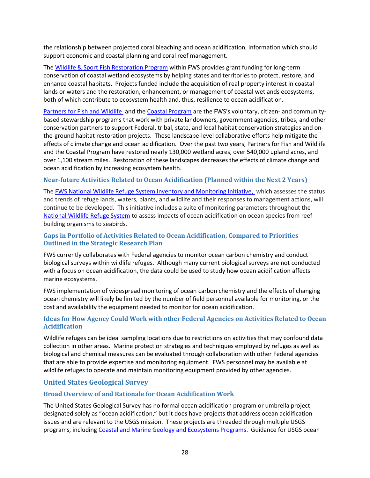the relationship between projected coral bleaching and ocean acidification, information which should support economic and coastal planning and coral reef management.

The [Wildlife & Sport Fish Restoration Program](http://wsfrprograms.fws.gov/) within FWS provides grant funding for long-term conservation of coastal wetland ecosystems by helping states and territories to protect, restore, and enhance coastal habitats. Projects funded include the acquisition of real property interest in coastal lands or waters and the restoration, enhancement, or management of coastal wetlands ecosystems, both of which contribute to ecosystem health and, thus, resilience to ocean acidification.

[Partners for Fish and Wildlife a](http://www.fws.gov/southeast/es/partners/)nd th[e Coastal Program](http://www.fws.gov/coastal/) are the FWS's voluntary, citizen- and communitybased stewardship programs that work with private landowners, government agencies, tribes, and other conservation partners to support Federal, tribal, state, and local habitat conservation strategies and onthe-ground habitat restoration projects. These landscape-level collaborative efforts help mitigate the effects of climate change and ocean acidification. Over the past two years, Partners for Fish and Wildlife and the Coastal Program have restored nearly 130,000 wetland acres, over 540,000 upland acres, and over 1,100 stream miles. Restoration of these landscapes decreases the effects of climate change and ocean acidification by increasing ecosystem health.

#### **Near-future Activities Related to Ocean Acidification (Planned within the Next 2 Years)**

The [FWS National Wildlife Refuge System Inventory and Monitoring Initiative,](http://www.fws.gov/Refuges/NaturalResourcePC/IandM/) which assesses the status and trends of refuge lands, waters, plants, and wildlife and their responses to management actions, will continue to be developed. This initiative includes a suite of monitoring parameters throughout the [National Wildlife Refuge System](http://www.fws.gov/refuges/) to assess impacts of ocean acidification on ocean species from reef building organisms to seabirds.

#### **Gaps in Portfolio of Activities Related to Ocean Acidification, Compared to Priorities Outlined in the Strategic Research Plan**

FWS currently collaborates with Federal agencies to monitor ocean carbon chemistry and conduct biological surveys within wildlife refuges. Although many current biological surveys are not conducted with a focus on ocean acidification, the data could be used to study how ocean acidification affects marine ecosystems.

FWS implementation of widespread monitoring of ocean carbon chemistry and the effects of changing ocean chemistry will likely be limited by the number of field personnel available for monitoring, or the cost and availability the equipment needed to monitor for ocean acidification.

#### **Ideas for How Agency Could Work with other Federal Agencies on Activities Related to Ocean Acidification**

Wildlife refuges can be ideal sampling locations due to restrictions on activities that may confound data collection in other areas. Marine protection strategies and techniques employed by refuges as well as biological and chemical measures can be evaluated through collaboration with other Federal agencies that are able to provide expertise and monitoring equipment. FWS personnel may be available at wildlife refuges to operate and maintain monitoring equipment provided by other agencies.

#### **United States Geological Survey**

#### **Broad Overview of and Rationale for Ocean Acidification Work**

The United States Geological Survey has no formal ocean acidification program or umbrella project designated solely as "ocean acidification," but it does have projects that address ocean acidification issues and are relevant to the USGS mission. These projects are threaded through multiple USGS programs, including [Coastal and Marine Geology and Ecosystems Programs.](http://marine.usgs.gov/) Guidance for USGS ocean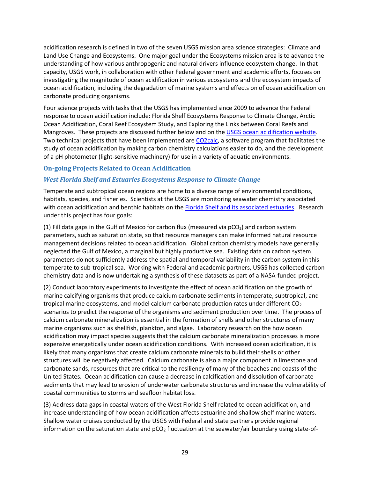acidification research is defined in two of the seven USGS mission area science strategies: Climate and Land Use Change and Ecosystems. One major goal under the Ecosystems mission area is to advance the understanding of how various anthropogenic and natural drivers influence ecosystem change. In that capacity, USGS work, in collaboration with other Federal government and academic efforts, focuses on investigating the magnitude of ocean acidification in various ecosystems and the ecosystem impacts of ocean acidification, including the degradation of marine systems and effects on of ocean acidification on carbonate producing organisms.

Four science projects with tasks that the USGS has implemented since 2009 to advance the Federal response to ocean acidification include: Florida Shelf Ecosystems Response to Climate Change, Arctic Ocean Acidification, Coral Reef Ecosystem Study, and Exploring the Links between Coral Reefs and Mangroves. These projects are discussed further below and on the [USGS ocean acidification website.](http://coastal.er.usgs.gov/ocean-acidification/) Two technical projects that have been implemented ar[e CO2calc,](http://pubs.usgs.gov/of/2010/1280/) a software program that facilitates the study of ocean acidification by making carbon chemistry calculations easier to do, and the development of a pH photometer (light-sensitive machinery) for use in a variety of aquatic environments.

#### **On-going Projects Related to Ocean Acidification**

#### *West Florida Shelf and Estuaries Ecosystems Response to Climate Change*

Temperate and subtropical ocean regions are home to a diverse range of environmental conditions, habitats, species, and fisheries. Scientists at the USGS are monitoring seawater chemistry associated with ocean acidification and benthic habitats on the [Florida Shelf](http://coastal.er.usgs.gov/flash/) and its associated estuaries. Research under this project has four goals:

(1) Fill data gaps in the Gulf of Mexico for carbon flux (measured via  $pCO<sub>2</sub>$ ) and carbon system parameters, such as saturation state, so that resource managers can make informed natural resource management decisions related to ocean acidification. Global carbon chemistry models have generally neglected the Gulf of Mexico, a marginal but highly productive sea. Existing data on carbon system parameters do not sufficiently address the spatial and temporal variability in the carbon system in this temperate to sub-tropical sea. Working with Federal and academic partners, USGS has collected carbon chemistry data and is now undertaking a synthesis of these datasets as part of a NASA-funded project.

(2) Conduct laboratory experiments to investigate the effect of ocean acidification on the growth of marine calcifying organisms that produce calcium carbonate sediments in temperate, subtropical, and tropical marine ecosystems, and model calcium carbonate production rates under different  $CO<sub>2</sub>$ scenarios to predict the response of the organisms and sediment production over time. The process of calcium carbonate mineralization is essential in the formation of shells and other structures of many marine organisms such as shellfish, plankton, and algae. Laboratory research on the how ocean acidification may impact species suggests that the calcium carbonate mineralization processes is more expensive energetically under ocean acidification conditions. With increased ocean acidification, it is likely that many organisms that create calcium carbonate minerals to build their shells or other structures will be negatively affected. Calcium carbonate is also a major component in limestone and carbonate sands, resources that are critical to the resiliency of many of the beaches and coasts of the United States. Ocean acidification can cause a decrease in calcification and dissolution of carbonate sediments that may lead to erosion of underwater carbonate structures and increase the vulnerability of coastal communities to storms and seafloor habitat loss.

(3) Address data gaps in coastal waters of the West Florida Shelf related to ocean acidification, and increase understanding of how ocean acidification affects estuarine and shallow shelf marine waters. Shallow water cruises conducted by the USGS with Federal and state partners provide regional information on the saturation state and  $pCO<sub>2</sub>$  fluctuation at the seawater/air boundary using state-of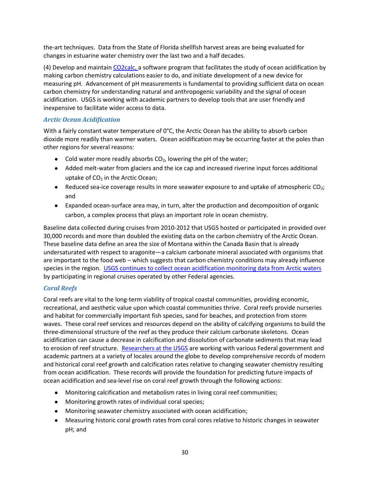the-art techniques. Data from the State of Florida shellfish harvest areas are being evaluated for changes in estuarine water chemistry over the last two and a half decades.

(4) Develop and maintai[n CO2calc,](http://pubs.usgs.gov/of/2010/1280/) a software program that facilitates the study of ocean acidification by making carbon chemistry calculations easier to do, and initiate development of a new device for measuring pH. Advancement of pH measurements is fundamental to providing sufficient data on ocean carbon chemistry for understanding natural and anthropogenic variability and the signal of ocean acidification. USGS is working with academic partners to develop tools that are user friendly and inexpensive to facilitate wider access to data.

#### *Arctic Ocean Acidification*

With a fairly constant water temperature of 0°C, the Arctic Ocean has the ability to absorb carbon dioxide more readily than warmer waters. Ocean acidification may be occurring faster at the poles than other regions for several reasons:

- Cold water more readily absorbs  $CO<sub>2</sub>$ , lowering the pH of the water;
- Added melt-water from glaciers and the ice cap and increased riverine input forces additional uptake of  $CO<sub>2</sub>$  in the Arctic Ocean;
- $\bullet$  Reduced sea-ice coverage results in more seawater exposure to and uptake of atmospheric CO<sub>2</sub>; and
- Expanded ocean-surface area may, in turn, alter the production and decomposition of organic carbon, a complex process that plays an important role in ocean chemistry.

Baseline data collected during cruises from 2010-2012 that USGS hosted or participated in provided over 30,000 records and more than doubled the existing data on the carbon chemistry of the Arctic Ocean. These baseline data define an area the size of Montana within the Canada Basin that is already undersaturated with respect to aragonite—a calcium carbonate mineral associated with organisms that are important to the food web – which suggests that carbon chemistry conditions may already influence species in the region. [USGS continues to collect ocean acidification monitoring data from Arctic waters](http://coastal.er.usgs.gov/ocean-acidification/research/polar.html) by participating in regional cruises operated by other Federal agencies.

#### *Coral Reefs*

Coral reefs are vital to the long-term viability of tropical coastal communities, providing economic, recreational, and aesthetic value upon which coastal communities thrive. Coral reefs provide nurseries and habitat for commercially important fish species, sand for beaches, and protection from storm waves. These coral reef services and resources depend on the ability of calcifying organisms to build the three-dimensional structure of the reef as they produce their calcium carbonate skeletons. Ocean acidification can cause a decrease in calcification and dissolution of carbonate sediments that may lead to erosion of reef structure. [Researchers at the USGS](http://coastal.er.usgs.gov/ocean-acidification/research/tropical.html) are working with various Federal government and academic partners at a variety of locales around the globe to develop comprehensive records of modern and historical coral reef growth and calcification rates relative to changing seawater chemistry resulting from ocean acidification. These records will provide the foundation for predicting future impacts of ocean acidification and sea-level rise on coral reef growth through the following actions:

- Monitoring calcification and metabolism rates in living coral reef communities;
- Monitoring growth rates of individual coral species;
- Monitoring seawater chemistry associated with ocean acidification;
- Measuring historic coral growth rates from coral cores relative to historic changes in seawater pH; and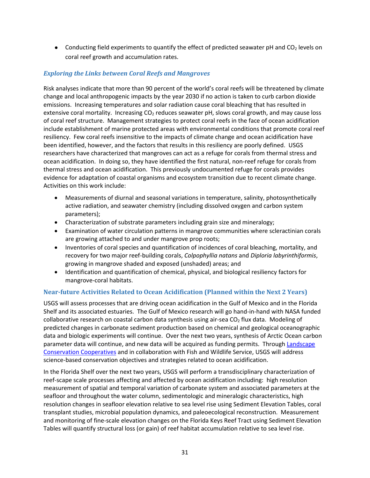• Conducting field experiments to quantify the effect of predicted seawater pH and  $CO<sub>2</sub>$  levels on coral reef growth and accumulation rates.

#### *Exploring the Links between Coral Reefs and Mangroves*

Risk analyses indicate that more than 90 percent of the world's coral reefs will be threatened by climate change and local anthropogenic impacts by the year 2030 if no action is taken to curb carbon dioxide emissions. Increasing temperatures and solar radiation cause coral bleaching that has resulted in extensive coral mortality. Increasing CO<sub>2</sub> reduces seawater pH, slows coral growth, and may cause loss of coral reef structure. Management strategies to protect coral reefs in the face of ocean acidification include establishment of marine protected areas with environmental conditions that promote coral reef resiliency. Few coral reefs insensitive to the impacts of climate change and ocean acidification have been identified, however, and the factors that results in this resiliency are poorly defined. USGS researchers have characterized that mangroves can act as a refuge for corals from thermal stress and ocean acidification. In doing so, they have identified the first natural, non-reef refuge for corals from thermal stress and ocean acidification. This previously undocumented refuge for corals provides evidence for adaptation of coastal organisms and ecosystem transition due to recent climate change. Activities on this work include:

- Measurements of diurnal and seasonal variations in temperature, salinity, photosynthetically active radiation, and seawater chemistry (including dissolved oxygen and carbon system parameters);
- Characterization of substrate parameters including grain size and mineralogy;
- Examination of water circulation patterns in mangrove communities where scleractinian corals are growing attached to and under mangrove prop roots;
- Inventories of coral species and quantification of incidences of coral bleaching, mortality, and recovery for two major reef-building corals, *Colpophyllia natans* and *Diploria labyrinthiformis*, growing in mangrove shaded and exposed (unshaded) areas; and
- Identification and quantification of chemical, physical, and biological resiliency factors for mangrove-coral habitats.

#### **Near-future Activities Related to Ocean Acidification (Planned within the Next 2 Years)**

USGS will assess processes that are driving ocean acidification in the Gulf of Mexico and in the Florida Shelf and its associated estuaries. The Gulf of Mexico research will go hand-in-hand with NASA funded collaborative research on coastal carbon data synthesis using air-sea  $CO<sub>2</sub>$  flux data. Modeling of predicted changes in carbonate sediment production based on chemical and geological oceanographic data and biologic experiments will continue. Over the next two years, synthesis of Arctic Ocean carbon parameter data will continue, and new data will be acquired as funding permits. Throug[h Landscape](http://www.fws.gov/landscape-conservation/lcc.html)  [Conservation Cooperatives](http://www.fws.gov/landscape-conservation/lcc.html) and in collaboration with Fish and Wildlife Service, USGS will address science-based conservation objectives and strategies related to ocean acidification.

In the Florida Shelf over the next two years, USGS will perform a transdisciplinary characterization of reef-scape scale processes affecting and affected by ocean acidification including: high resolution measurement of spatial and temporal variation of carbonate system and associated parameters at the seafloor and throughout the water column, sedimentologic and mineralogic characteristics, high resolution changes in seafloor elevation relative to sea level rise using Sediment Elevation Tables, coral transplant studies, microbial population dynamics, and paleoecological reconstruction. Measurement and monitoring of fine-scale elevation changes on the Florida Keys Reef Tract using Sediment Elevation Tables will quantify structural loss (or gain) of reef habitat accumulation relative to sea level rise.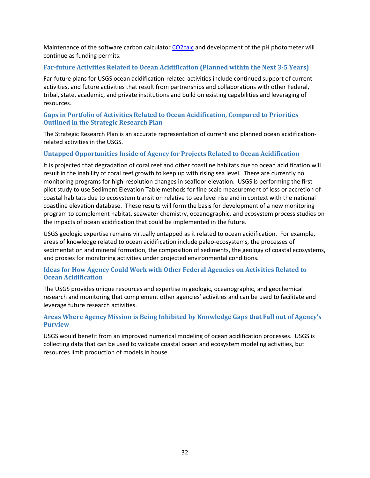Maintenance of the software carbon calculator [CO2calc](http://pubs.usgs.gov/of/2010/1280/) and development of the pH photometer will continue as funding permits.

#### **Far-future Activities Related to Ocean Acidification (Planned within the Next 3-5 Years)**

Far-future plans for USGS ocean acidification-related activities include continued support of current activities, and future activities that result from partnerships and collaborations with other Federal, tribal, state, academic, and private institutions and build on existing capabilities and leveraging of resources.

#### **Gaps in Portfolio of Activities Related to Ocean Acidification, Compared to Priorities Outlined in the Strategic Research Plan**

The Strategic Research Plan is an accurate representation of current and planned ocean acidificationrelated activities in the USGS.

#### **Untapped Opportunities Inside of Agency for Projects Related to Ocean Acidification**

It is projected that degradation of coral reef and other coastline habitats due to ocean acidification will result in the inability of coral reef growth to keep up with rising sea level. There are currently no monitoring programs for high-resolution changes in seafloor elevation. USGS is performing the first pilot study to use Sediment Elevation Table methods for fine scale measurement of loss or accretion of coastal habitats due to ecosystem transition relative to sea level rise and in context with the national coastline elevation database. These results will form the basis for development of a new monitoring program to complement habitat, seawater chemistry, oceanographic, and ecosystem process studies on the impacts of ocean acidification that could be implemented in the future.

USGS geologic expertise remains virtually untapped as it related to ocean acidification. For example, areas of knowledge related to ocean acidification include paleo-ecosystems, the processes of sedimentation and mineral formation, the composition of sediments, the geology of coastal ecosystems, and proxies for monitoring activities under projected environmental conditions.

#### **Ideas for How Agency Could Work with Other Federal Agencies on Activities Related to Ocean Acidification**

The USGS provides unique resources and expertise in geologic, oceanographic, and geochemical research and monitoring that complement other agencies' activities and can be used to facilitate and leverage future research activities.

#### **Areas Where Agency Mission is Being Inhibited by Knowledge Gaps that Fall out of Agency's Purview**

USGS would benefit from an improved numerical modeling of ocean acidification processes. USGS is collecting data that can be used to validate coastal ocean and ecosystem modeling activities, but resources limit production of models in house.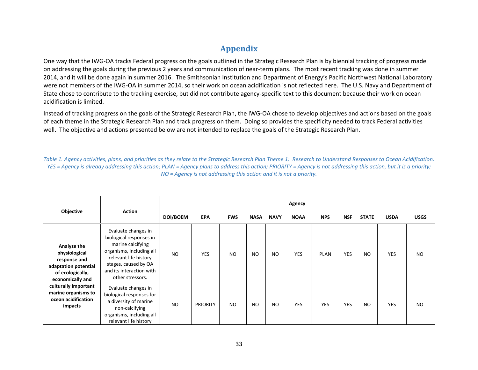## **Appendix**

One way that the IWG-OA tracks Federal progress on the goals outlined in the Strategic Research Plan is by biennial tracking of progress made on addressing the goals during the previous 2 years and communication of near-term plans. The most recent tracking was done in summer 2014, and it will be done again in summer 2016. The Smithsonian Institution and Department of Energy's Pacific Northwest National Laboratory were not members of the IWG-OA in summer 2014, so their work on ocean acidification is not reflected here. The U.S. Navy and Department of State chose to contribute to the tracking exercise, but did not contribute agency-specific text to this document because their work on ocean acidification is limited.

Instead of tracking progress on the goals of the Strategic Research Plan, the IWG-OA chose to develop objectives and actions based on the goals of each theme in the Strategic Research Plan and track progress on them. Doing so provides the specificity needed to track Federal activities well. The objective and actions presented below are not intended to replace the goals of the Strategic Research Plan.

*Table 1. Agency activities, plans, and priorities as they relate to the Strategic Research Plan Theme 1: Research to Understand Responses to Ocean Acidification. YES = Agency is already addressing this action; PLAN = Agency plans to address this action; PRIORITY = Agency is not addressing this action, but it is a priority; NO = Agency is not addressing this action and it is not a priority.*

|                                                                                                              |                                                                                                                                                                                                  |           |                 |                |             |                | Agency      |             |            |                |             |             |
|--------------------------------------------------------------------------------------------------------------|--------------------------------------------------------------------------------------------------------------------------------------------------------------------------------------------------|-----------|-----------------|----------------|-------------|----------------|-------------|-------------|------------|----------------|-------------|-------------|
| Objective                                                                                                    | <b>Action</b>                                                                                                                                                                                    | DOI/BOEM  | <b>EPA</b>      | <b>FWS</b>     | <b>NASA</b> | <b>NAVY</b>    | <b>NOAA</b> | <b>NPS</b>  | <b>NSF</b> | <b>STATE</b>   | <b>USDA</b> | <b>USGS</b> |
| Analyze the<br>physiological<br>response and<br>adaptation potential<br>of ecologically,<br>economically and | Evaluate changes in<br>biological responses in<br>marine calcifying<br>organisms, including all<br>relevant life history<br>stages, caused by OA<br>and its interaction with<br>other stressors. | <b>NO</b> | YES             | <b>NO</b>      | <b>NO</b>   | N <sub>O</sub> | <b>YES</b>  | <b>PLAN</b> | <b>YES</b> | <b>NO</b>      | <b>YES</b>  | <b>NO</b>   |
| culturally important<br>marine organisms to<br>ocean acidification<br>impacts                                | Evaluate changes in<br>biological responses for<br>a diversity of marine<br>non-calcifying<br>organisms, including all<br>relevant life history                                                  | <b>NO</b> | <b>PRIORITY</b> | N <sub>O</sub> | <b>NO</b>   | N <sub>O</sub> | <b>YES</b>  | <b>YES</b>  | <b>YES</b> | N <sub>O</sub> | <b>YES</b>  | <b>NO</b>   |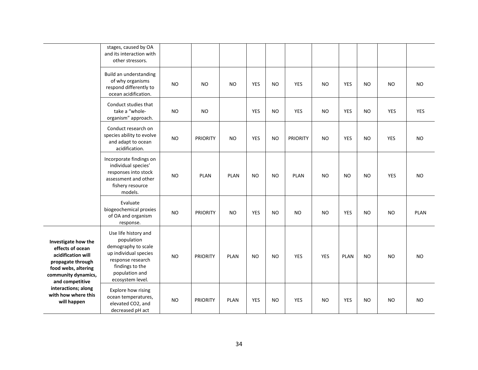|                                                                                                                                                                                                                  | stages, caused by OA<br>and its interaction with<br>other stressors.                                                                                             |           |                 |             |            |           |                 |            |             |           |            |             |
|------------------------------------------------------------------------------------------------------------------------------------------------------------------------------------------------------------------|------------------------------------------------------------------------------------------------------------------------------------------------------------------|-----------|-----------------|-------------|------------|-----------|-----------------|------------|-------------|-----------|------------|-------------|
|                                                                                                                                                                                                                  | Build an understanding<br>of why organisms<br>respond differently to<br>ocean acidification.                                                                     | <b>NO</b> | <b>NO</b>       | <b>NO</b>   | <b>YES</b> | <b>NO</b> | <b>YES</b>      | <b>NO</b>  | <b>YES</b>  | <b>NO</b> | <b>NO</b>  | <b>NO</b>   |
|                                                                                                                                                                                                                  | Conduct studies that<br>take a "whole-<br>organism" approach.                                                                                                    | <b>NO</b> | <b>NO</b>       |             | <b>YES</b> | <b>NO</b> | <b>YES</b>      | <b>NO</b>  | <b>YES</b>  | <b>NO</b> | <b>YES</b> | YES         |
|                                                                                                                                                                                                                  | Conduct research on<br>species ability to evolve<br>and adapt to ocean<br>acidification.                                                                         | <b>NO</b> | <b>PRIORITY</b> | <b>NO</b>   | <b>YES</b> | <b>NO</b> | <b>PRIORITY</b> | <b>NO</b>  | <b>YES</b>  | NO        | <b>YES</b> | <b>NO</b>   |
|                                                                                                                                                                                                                  | Incorporate findings on<br>individual species'<br>responses into stock<br>assessment and other<br>fishery resource<br>models.                                    | <b>NO</b> | <b>PLAN</b>     | <b>PLAN</b> | <b>NO</b>  | <b>NO</b> | <b>PLAN</b>     | <b>NO</b>  | <b>NO</b>   | <b>NO</b> | <b>YES</b> | <b>NO</b>   |
|                                                                                                                                                                                                                  | Evaluate<br>biogeochemical proxies<br>of OA and organism<br>response.                                                                                            | <b>NO</b> | <b>PRIORITY</b> | <b>NO</b>   | <b>YES</b> | <b>NO</b> | <b>NO</b>       | <b>NO</b>  | <b>YES</b>  | <b>NO</b> | <b>NO</b>  | <b>PLAN</b> |
| Investigate how the<br>effects of ocean<br>acidification will<br>propagate through<br>food webs, altering<br>community dynamics,<br>and competitive<br>interactions; along<br>with how where this<br>will happen | Use life history and<br>population<br>demography to scale<br>up individual species<br>response research<br>findings to the<br>population and<br>ecosystem level. | <b>NO</b> | <b>PRIORITY</b> | <b>PLAN</b> | <b>NO</b>  | <b>NO</b> | <b>YES</b>      | <b>YES</b> | <b>PLAN</b> | <b>NO</b> | <b>NO</b>  | <b>NO</b>   |
|                                                                                                                                                                                                                  | Explore how rising<br>ocean temperatures,<br>elevated CO2, and<br>decreased pH act                                                                               | <b>NO</b> | <b>PRIORITY</b> | <b>PLAN</b> | <b>YES</b> | <b>NO</b> | <b>YES</b>      | <b>NO</b>  | <b>YES</b>  | <b>NO</b> | NO         | <b>NO</b>   |

—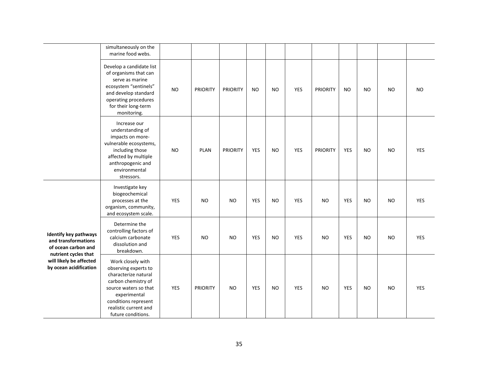|                                                                                                    | simultaneously on the<br>marine food webs.                                                                                                                                                               |            |                 |                 |           |           |            |                 |            |           |           |            |
|----------------------------------------------------------------------------------------------------|----------------------------------------------------------------------------------------------------------------------------------------------------------------------------------------------------------|------------|-----------------|-----------------|-----------|-----------|------------|-----------------|------------|-----------|-----------|------------|
|                                                                                                    | Develop a candidate list<br>of organisms that can<br>serve as marine<br>ecosystem "sentinels"<br>and develop standard<br>operating procedures<br>for their long-term<br>monitoring.                      | <b>NO</b>  | <b>PRIORITY</b> | <b>PRIORITY</b> | <b>NO</b> | <b>NO</b> | YES        | PRIORITY        | <b>NO</b>  | <b>NO</b> | <b>NO</b> | <b>NO</b>  |
|                                                                                                    | Increase our<br>understanding of<br>impacts on more-<br>vulnerable ecosystems,<br>including those<br>affected by multiple<br>anthropogenic and<br>environmental<br>stressors.                            | <b>NO</b>  | <b>PLAN</b>     | <b>PRIORITY</b> | YES       | <b>NO</b> | YES        | <b>PRIORITY</b> | YES        | <b>NO</b> | <b>NO</b> | <b>YES</b> |
|                                                                                                    | Investigate key<br>biogeochemical<br>processes at the<br>organism, community,<br>and ecosystem scale.                                                                                                    | YES        | <b>NO</b>       | <b>NO</b>       | YES       | <b>NO</b> | <b>YES</b> | <b>NO</b>       | YES        | <b>NO</b> | <b>NO</b> | <b>YES</b> |
| <b>Identify key pathways</b><br>and transformations<br>of ocean carbon and<br>nutrient cycles that | Determine the<br>controlling factors of<br>calcium carbonate<br>dissolution and<br>breakdown.                                                                                                            | <b>YES</b> | <b>NO</b>       | <b>NO</b>       | YES       | <b>NO</b> | YES        | <b>NO</b>       | <b>YES</b> | <b>NO</b> | <b>NO</b> | YES        |
| will likely be affected<br>by ocean acidification                                                  | Work closely with<br>observing experts to<br>characterize natural<br>carbon chemistry of<br>source waters so that<br>experimental<br>conditions represent<br>realistic current and<br>future conditions. | YES        | <b>PRIORITY</b> | <b>NO</b>       | YES       | <b>NO</b> | YES        | <b>NO</b>       | YES        | <b>NO</b> | <b>NO</b> | <b>YES</b> |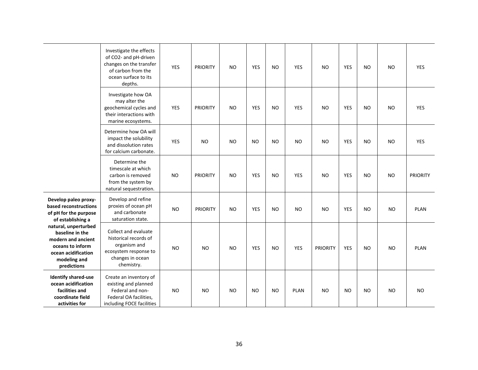|                                                                                                                                         | Investigate the effects<br>of CO2- and pH-driven<br>changes on the transfer<br>of carbon from the<br>ocean surface to its<br>depths. | <b>YES</b> | <b>PRIORITY</b> | <b>NO</b> | <b>YES</b> | <b>NO</b> | <b>YES</b> | <b>NO</b>       | <b>YES</b> | <b>NO</b> | <b>NO</b> | <b>YES</b>      |
|-----------------------------------------------------------------------------------------------------------------------------------------|--------------------------------------------------------------------------------------------------------------------------------------|------------|-----------------|-----------|------------|-----------|------------|-----------------|------------|-----------|-----------|-----------------|
|                                                                                                                                         | Investigate how OA<br>may alter the<br>geochemical cycles and<br>their interactions with<br>marine ecosystems.                       | YES        | <b>PRIORITY</b> | <b>NO</b> | <b>YES</b> | <b>NO</b> | <b>YES</b> | <b>NO</b>       | <b>YES</b> | <b>NO</b> | <b>NO</b> | <b>YES</b>      |
|                                                                                                                                         | Determine how OA will<br>impact the solubility<br>and dissolution rates<br>for calcium carbonate.                                    | <b>YES</b> | <b>NO</b>       | <b>NO</b> | <b>NO</b>  | <b>NO</b> | <b>NO</b>  | <b>NO</b>       | <b>YES</b> | <b>NO</b> | <b>NO</b> | <b>YES</b>      |
|                                                                                                                                         | Determine the<br>timescale at which<br>carbon is removed<br>from the system by<br>natural sequestration.                             | <b>NO</b>  | <b>PRIORITY</b> | <b>NO</b> | <b>YES</b> | <b>NO</b> | <b>YES</b> | <b>NO</b>       | <b>YES</b> | <b>NO</b> | <b>NO</b> | <b>PRIORITY</b> |
| Develop paleo proxy-<br>based reconstructions<br>of pH for the purpose<br>of establishing a                                             | Develop and refine<br>proxies of ocean pH<br>and carbonate<br>saturation state.                                                      | <b>NO</b>  | <b>PRIORITY</b> | <b>NO</b> | <b>YES</b> | <b>NO</b> | <b>NO</b>  | <b>NO</b>       | <b>YES</b> | <b>NO</b> | <b>NO</b> | <b>PLAN</b>     |
| natural, unperturbed<br>baseline in the<br>modern and ancient<br>oceans to inform<br>ocean acidification<br>modeling and<br>predictions | Collect and evaluate<br>historical records of<br>organism and<br>ecosystem response to<br>changes in ocean<br>chemistry.             | <b>NO</b>  | <b>NO</b>       | <b>NO</b> | <b>YES</b> | <b>NO</b> | <b>YES</b> | <b>PRIORITY</b> | <b>YES</b> | <b>NO</b> | <b>NO</b> | <b>PLAN</b>     |
| <b>Identify shared-use</b><br>ocean acidification<br>facilities and<br>coordinate field<br>activities for                               | Create an inventory of<br>existing and planned<br>Federal and non-<br>Federal OA facilities,<br>including FOCE facilities            | <b>NO</b>  | <b>NO</b>       | <b>NO</b> | <b>NO</b>  | <b>NO</b> | PLAN       | <b>NO</b>       | <b>NO</b>  | <b>NO</b> | <b>NO</b> | <b>NO</b>       |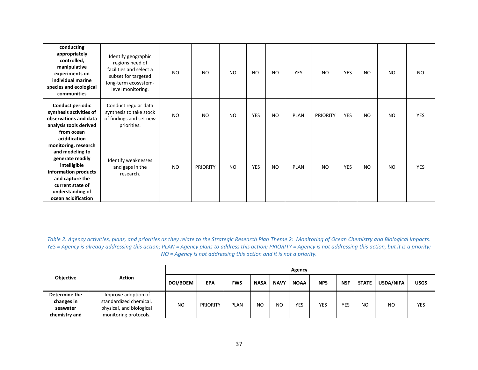| conducting<br>appropriately<br>controlled,<br>manipulative<br>experiments on<br>individual marine<br>species and ecological<br>communities                                                                           | Identify geographic<br>regions need of<br>facilities and select a<br>subset for targeted<br>long-term ecosystem-<br>level monitoring. | <b>NO</b> | N <sub>O</sub>  | <b>NO</b> | <b>NO</b>  | <b>NO</b> | <b>YES</b>  | <b>NO</b>       | <b>YES</b> | N <sub>O</sub> | N <sub>O</sub> | <b>NO</b>  |
|----------------------------------------------------------------------------------------------------------------------------------------------------------------------------------------------------------------------|---------------------------------------------------------------------------------------------------------------------------------------|-----------|-----------------|-----------|------------|-----------|-------------|-----------------|------------|----------------|----------------|------------|
| <b>Conduct periodic</b><br>synthesis activities of<br>observations and data<br>analysis tools derived                                                                                                                | Conduct regular data<br>synthesis to take stock<br>of findings and set new<br>priorities.                                             | <b>NO</b> | N <sub>O</sub>  | <b>NO</b> | <b>YES</b> | <b>NO</b> | <b>PLAN</b> | <b>PRIORITY</b> | <b>YES</b> | N <sub>O</sub> | <b>NO</b>      | <b>YES</b> |
| from ocean<br>acidification<br>monitoring, research<br>and modeling to<br>generate readily<br>intelligible<br>information products<br>and capture the<br>current state of<br>understanding of<br>ocean acidification | Identify weaknesses<br>and gaps in the<br>research.                                                                                   | <b>NO</b> | <b>PRIORITY</b> | <b>NO</b> | <b>YES</b> | <b>NO</b> | <b>PLAN</b> | <b>NO</b>       | <b>YES</b> | <b>NO</b>      | N <sub>O</sub> | <b>YES</b> |

*Table 2. Agency activities, plans, and priorities as they relate to the Strategic Research Plan Theme 2: Monitoring of Ocean Chemistry and Biological Impacts. YES* = Agency is already addressing this action; PLAN = Agency plans to address this action; PRIORITY = Agency is not addressing this action, but it is a priority; *NO = Agency is not addressing this action and it is not a priority.*

|               |                          |                 |                 |             |             |             | Agency      |            |            |              |           |             |
|---------------|--------------------------|-----------------|-----------------|-------------|-------------|-------------|-------------|------------|------------|--------------|-----------|-------------|
| Objective     | <b>Action</b>            | <b>DOI/BOEM</b> | <b>EPA</b>      | <b>FWS</b>  | <b>NASA</b> | <b>NAVY</b> | <b>NOAA</b> | <b>NPS</b> | <b>NSF</b> | <b>STATE</b> | USDA/NIFA | <b>USGS</b> |
| Determine the | Improve adoption of      |                 | <b>PRIORITY</b> | <b>PLAN</b> | NO          |             |             |            |            |              |           |             |
| changes in    | standardized chemical,   |                 |                 |             |             | <b>NO</b>   | YES         | YES        | <b>YES</b> | NO           | <b>NO</b> | YES         |
| seawater      | physical, and biological | <b>NO</b>       |                 |             |             |             |             |            |            |              |           |             |
| chemistry and | monitoring protocols.    |                 |                 |             |             |             |             |            |            |              |           |             |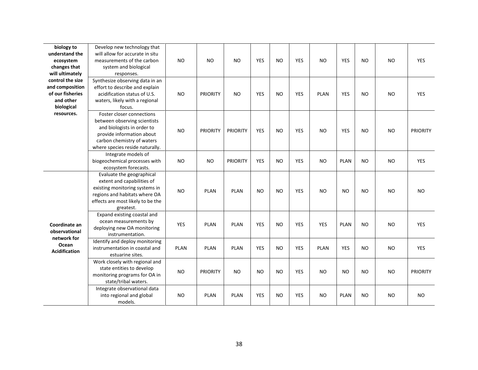| biology to           | Develop new technology that       |             |                 |                 |                |           |            |                |                |                |           |                 |
|----------------------|-----------------------------------|-------------|-----------------|-----------------|----------------|-----------|------------|----------------|----------------|----------------|-----------|-----------------|
| understand the       | will allow for accurate in situ   |             |                 |                 |                |           |            |                |                |                |           |                 |
| ecosystem            | measurements of the carbon        | <b>NO</b>   | <b>NO</b>       | <b>NO</b>       | <b>YES</b>     | <b>NO</b> | <b>YES</b> | N <sub>O</sub> | <b>YES</b>     | N <sub>O</sub> | <b>NO</b> | <b>YES</b>      |
|                      |                                   |             |                 |                 |                |           |            |                |                |                |           |                 |
| changes that         | system and biological             |             |                 |                 |                |           |            |                |                |                |           |                 |
| will ultimately      | responses.                        |             |                 |                 |                |           |            |                |                |                |           |                 |
| control the size     | Synthesize observing data in an   |             |                 |                 |                |           |            |                |                |                |           |                 |
| and composition      | effort to describe and explain    |             |                 |                 |                |           |            |                |                |                |           |                 |
| of our fisheries     | acidification status of U.S.      | <b>NO</b>   | <b>PRIORITY</b> | NO.             | <b>YES</b>     | <b>NO</b> | <b>YES</b> | <b>PLAN</b>    | <b>YES</b>     | <b>NO</b>      | NO.       | <b>YES</b>      |
| and other            | waters, likely with a regional    |             |                 |                 |                |           |            |                |                |                |           |                 |
| biological           | focus.                            |             |                 |                 |                |           |            |                |                |                |           |                 |
| resources.           | Foster closer connections         |             |                 |                 |                |           |            |                |                |                |           |                 |
|                      | between observing scientists      |             |                 |                 |                |           |            |                |                |                |           |                 |
|                      | and biologists in order to        | <b>NO</b>   | <b>PRIORITY</b> | <b>PRIORITY</b> | <b>YES</b>     | <b>NO</b> | <b>YES</b> | <b>NO</b>      | <b>YES</b>     | N <sub>O</sub> | <b>NO</b> | <b>PRIORITY</b> |
|                      | provide information about         |             |                 |                 |                |           |            |                |                |                |           |                 |
|                      | carbon chemistry of waters        |             |                 |                 |                |           |            |                |                |                |           |                 |
|                      | where species reside naturally.   |             |                 |                 |                |           |            |                |                |                |           |                 |
|                      | Integrate models of               |             |                 |                 |                |           |            |                |                |                |           |                 |
|                      | biogeochemical processes with     | <b>NO</b>   | <b>NO</b>       | <b>PRIORITY</b> | <b>YES</b>     | <b>NO</b> | <b>YES</b> | <b>NO</b>      | <b>PLAN</b>    | <b>NO</b>      | <b>NO</b> | YES             |
|                      | ecosystem forecasts.              |             |                 |                 |                |           |            |                |                |                |           |                 |
|                      | Evaluate the geographical         |             |                 |                 |                |           |            |                |                |                |           |                 |
|                      | extent and capabilities of        |             |                 |                 |                |           |            |                |                |                |           |                 |
|                      | existing monitoring systems in    |             |                 |                 |                |           |            |                |                |                |           |                 |
|                      | regions and habitats where OA     | NO.         | <b>PLAN</b>     | <b>PLAN</b>     | <b>NO</b>      | NO        | <b>YES</b> | <b>NO</b>      | <b>NO</b>      | NO             | <b>NO</b> | <b>NO</b>       |
|                      | effects are most likely to be the |             |                 |                 |                |           |            |                |                |                |           |                 |
|                      | greatest.                         |             |                 |                 |                |           |            |                |                |                |           |                 |
|                      | Expand existing coastal and       |             |                 |                 |                |           |            |                |                |                |           |                 |
|                      | ocean measurements by             |             |                 |                 |                |           |            |                |                |                |           |                 |
| Coordinate an        | deploying new OA monitoring       | <b>YES</b>  | <b>PLAN</b>     | <b>PLAN</b>     | <b>YES</b>     | <b>NO</b> | <b>YES</b> | <b>YES</b>     | <b>PLAN</b>    | <b>NO</b>      | <b>NO</b> | YES             |
| observational        | instrumentation.                  |             |                 |                 |                |           |            |                |                |                |           |                 |
| network for          | Identify and deploy monitoring    |             |                 |                 |                |           |            |                |                |                |           |                 |
| Ocean                | instrumentation in coastal and    | <b>PLAN</b> | <b>PLAN</b>     | <b>PLAN</b>     | <b>YES</b>     | <b>NO</b> | <b>YES</b> | <b>PLAN</b>    | <b>YES</b>     | <b>NO</b>      | <b>NO</b> | <b>YES</b>      |
| <b>Acidification</b> | estuarine sites.                  |             |                 |                 |                |           |            |                |                |                |           |                 |
|                      | Work closely with regional and    |             |                 |                 |                |           |            |                |                |                |           |                 |
|                      | state entities to develop         |             |                 |                 |                |           |            |                |                |                |           |                 |
|                      | monitoring programs for OA in     | <b>NO</b>   | <b>PRIORITY</b> | NO.             | N <sub>O</sub> | NO        | <b>YES</b> | N <sub>O</sub> | N <sub>O</sub> | N <sub>O</sub> | <b>NO</b> | <b>PRIORITY</b> |
|                      | state/tribal waters.              |             |                 |                 |                |           |            |                |                |                |           |                 |
|                      | Integrate observational data      |             |                 |                 |                |           |            |                |                |                |           |                 |
|                      | into regional and global          | NO.         | <b>PLAN</b>     | <b>PLAN</b>     | <b>YES</b>     | <b>NO</b> | <b>YES</b> | <b>NO</b>      | <b>PLAN</b>    | <b>NO</b>      | <b>NO</b> | <b>NO</b>       |
|                      | models.                           |             |                 |                 |                |           |            |                |                |                |           |                 |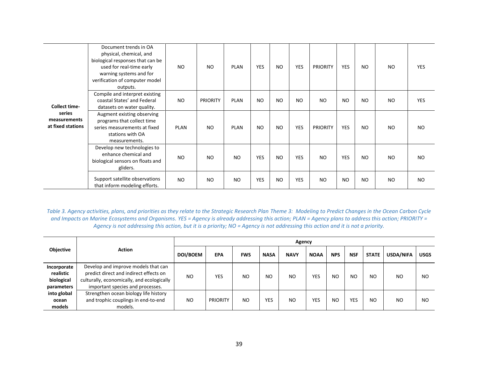|                                             | Document trends in OA<br>physical, chemical, and<br>biological responses that can be<br>used for real-time early<br>warning systems and for<br>verification of computer model<br>outputs. | NO.       | <b>NO</b>       | <b>PLAN</b>    | <b>YES</b> | <b>NO</b> | <b>YES</b>     | <b>PRIORITY</b> | <b>YES</b> | N <sub>O</sub> | NO | <b>YES</b> |
|---------------------------------------------|-------------------------------------------------------------------------------------------------------------------------------------------------------------------------------------------|-----------|-----------------|----------------|------------|-----------|----------------|-----------------|------------|----------------|----|------------|
| <b>Collect time-</b>                        | Compile and interpret existing<br>coastal States' and Federal<br>datasets on water quality.                                                                                               | <b>NO</b> | <b>PRIORITY</b> | <b>PLAN</b>    | <b>NO</b>  | <b>NO</b> | N <sub>O</sub> | N <sub>O</sub>  | <b>NO</b>  | N <sub>O</sub> | NO | <b>YES</b> |
| series<br>measurements<br>at fixed stations | Augment existing observing<br>programs that collect time<br>series measurements at fixed<br>stations with OA<br>measurements.                                                             | PLAN      | <b>NO</b>       | <b>PLAN</b>    | <b>NO</b>  | <b>NO</b> | <b>YES</b>     | <b>PRIORITY</b> | <b>YES</b> | NO             | NO | <b>NO</b>  |
|                                             | Develop new technologies to<br>enhance chemical and<br>biological sensors on floats and<br>gliders.                                                                                       | NO.       | <b>NO</b>       | N <sub>O</sub> | <b>YES</b> | <b>NO</b> | <b>YES</b>     | N <sub>O</sub>  | <b>YES</b> | <b>NO</b>      | NO | <b>NO</b>  |
|                                             | Support satellite observations<br>that inform modeling efforts.                                                                                                                           | <b>NO</b> | <b>NO</b>       | N <sub>O</sub> | YES        | <b>NO</b> | <b>YES</b>     | <b>NO</b>       | <b>NO</b>  | <b>NO</b>      | NO | <b>NO</b>  |

*Table 3. Agency activities, plans, and priorities as they relate to the Strategic Research Plan Theme 3: Modeling to Predict Changes in the Ocean Carbon Cycle and Impacts on Marine Ecosystems and Organisms. YES = Agency is already addressing this action; PLAN = Agency plans to address this action; PRIORITY = Agency is not addressing this action, but it is a priority; NO = Agency is not addressing this action and it is not a priority.*

|                                                      |                                                                                                                                                                 |                |                 |                |             | Agency         |             |            |            |                |           |             |
|------------------------------------------------------|-----------------------------------------------------------------------------------------------------------------------------------------------------------------|----------------|-----------------|----------------|-------------|----------------|-------------|------------|------------|----------------|-----------|-------------|
| Objective                                            | Action                                                                                                                                                          | DOI/BOEM       | <b>EPA</b>      | <b>FWS</b>     | <b>NASA</b> | <b>NAVY</b>    | <b>NOAA</b> | <b>NPS</b> | <b>NSF</b> | <b>STATE</b>   | USDA/NIFA | <b>USGS</b> |
| Incorporate<br>realistic<br>biological<br>parameters | Develop and improve models that can<br>predict direct and indirect effects on<br>culturally, economically, and ecologically<br>important species and processes. | NO             | <b>YES</b>      | N <sub>O</sub> | NO          | N <sub>O</sub> | YES         | NO         | <b>NO</b>  | N <sub>O</sub> | NO        | NO          |
| into global<br>ocean<br>models                       | Strengthen ocean biology life history<br>and trophic couplings in end-to-end<br>models.                                                                         | N <sub>O</sub> | <b>PRIORITY</b> | N <sub>O</sub> | <b>YES</b>  | <b>NO</b>      | YES         | NO         | YES        | <b>NO</b>      | NO        | NO          |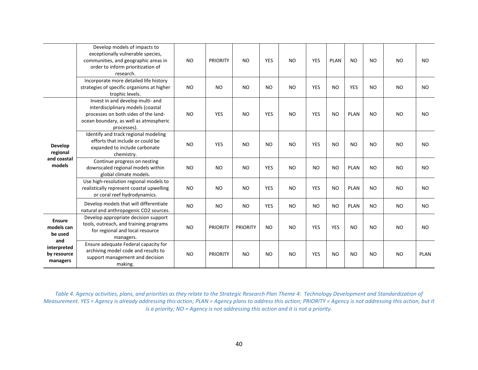|                                               | Develop models of impacts to<br>exceptionally vulnerable species,<br>communities, and geographic areas in<br>order to inform prioritization of<br>research.            | <b>NO</b> | <b>PRIORITY</b> | <b>NO</b>       | <b>YES</b>     | <b>NO</b> | <b>YES</b> | <b>PLAN</b> | <b>NO</b>   | NO        | N <sub>O</sub> | NO.         |
|-----------------------------------------------|------------------------------------------------------------------------------------------------------------------------------------------------------------------------|-----------|-----------------|-----------------|----------------|-----------|------------|-------------|-------------|-----------|----------------|-------------|
|                                               | Incorporate more detailed life history<br>strategies of specific organisms at higher<br>trophic levels.                                                                | <b>NO</b> | <b>NO</b>       | <b>NO</b>       | <b>NO</b>      | <b>NO</b> | <b>YES</b> | <b>NO</b>   | <b>YES</b>  | <b>NO</b> | <b>NO</b>      | <b>NO</b>   |
|                                               | Invest in and develop multi- and<br>interdisciplinary models (coastal<br>processes on both sides of the land-<br>ocean boundary, as well as atmospheric<br>processes). | <b>NO</b> | <b>YES</b>      | <b>NO</b>       | <b>YES</b>     | <b>NO</b> | <b>YES</b> | <b>NO</b>   | <b>PLAN</b> | NO        | <b>NO</b>      | NO.         |
| <b>Develop</b><br>regional<br>and coastal     | Identify and track regional modeling<br>efforts that include or could be<br>expanded to include carbonate<br>chemistry.                                                | <b>NO</b> | <b>YES</b>      | <b>NO</b>       | <b>NO</b>      | <b>NO</b> | <b>YES</b> | <b>NO</b>   | <b>NO</b>   | <b>NO</b> | <b>NO</b>      | <b>NO</b>   |
| models                                        | Continue progress on nesting<br>downscaled regional models within<br>global climate models.                                                                            | <b>NO</b> | <b>NO</b>       | <b>NO</b>       | <b>YES</b>     | <b>NO</b> | <b>NO</b>  | <b>NO</b>   | <b>PLAN</b> | NO        | <b>NO</b>      | <b>NO</b>   |
|                                               | Use high-resolution regional models to<br>realistically represent coastal upwelling<br>or coral reef hydrodynamics.                                                    | <b>NO</b> | <b>NO</b>       | <b>NO</b>       | <b>YES</b>     | <b>NO</b> | <b>YES</b> | <b>NO</b>   | <b>PLAN</b> | <b>NO</b> | <b>NO</b>      | <b>NO</b>   |
|                                               | Develop models that will differentiate<br>natural and anthropogenic CO2 sources.                                                                                       | <b>NO</b> | <b>NO</b>       | <b>NO</b>       | <b>YES</b>     | <b>NO</b> | <b>NO</b>  | <b>NO</b>   | <b>PLAN</b> | NO.       | <b>NO</b>      | <b>NO</b>   |
| <b>Ensure</b><br>models can<br>be used<br>and | Develop appropriate decision support<br>tools, outreach, and training programs<br>for regional and local resource<br>managers.                                         | <b>NO</b> | <b>PRIORITY</b> | <b>PRIORITY</b> | <b>NO</b>      | <b>NO</b> | <b>YES</b> | <b>YES</b>  | <b>NO</b>   | <b>NO</b> | <b>NO</b>      | <b>NO</b>   |
| interpreted<br>by resource<br>managers        | Ensure adequate Federal capacity for<br>archiving model code and results to<br>support management and decision<br>making.                                              | <b>NO</b> | <b>PRIORITY</b> | <b>NO</b>       | N <sub>O</sub> | <b>NO</b> | <b>YES</b> | <b>NO</b>   | <b>NO</b>   | NO        | <b>NO</b>      | <b>PLAN</b> |

*Table 4. Agency activities, plans, and priorities as they relate to the Strategic Research Plan Theme 4: Technology Development and Standardization of Measurement. YES = Agency is already addressing this action; PLAN = Agency plans to address this action; PRIORITY = Agency is not addressing this action, but it is a priority; NO = Agency is not addressing this action and it is not a priority.*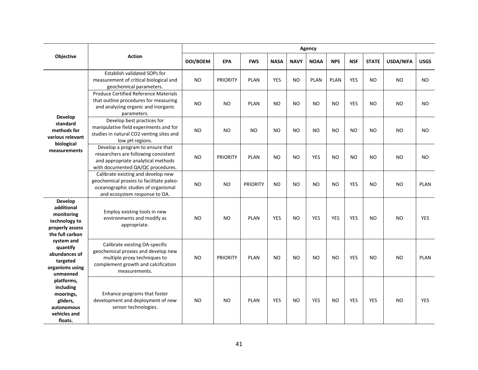|                                                                                           |                                                                                                                                                               | Agency    |                 |                 |             |             |                |                |                |                |           |             |
|-------------------------------------------------------------------------------------------|---------------------------------------------------------------------------------------------------------------------------------------------------------------|-----------|-----------------|-----------------|-------------|-------------|----------------|----------------|----------------|----------------|-----------|-------------|
| Objective                                                                                 | <b>Action</b>                                                                                                                                                 | DOI/BOEM  | <b>EPA</b>      | <b>FWS</b>      | <b>NASA</b> | <b>NAVY</b> | <b>NOAA</b>    | <b>NPS</b>     | <b>NSF</b>     | <b>STATE</b>   | USDA/NIFA | <b>USGS</b> |
|                                                                                           | Establish validated SOPs for<br>measurement of critical biological and<br>geochemical parameters.                                                             | <b>NO</b> | <b>PRIORITY</b> | <b>PLAN</b>     | YES         | NO.         | <b>PLAN</b>    | <b>PLAN</b>    | <b>YES</b>     | <b>NO</b>      | <b>NO</b> | <b>NO</b>   |
| <b>Develop</b>                                                                            | <b>Produce Certified Reference Materials</b><br>that outline procedures for measuring<br>and analyzing organic and inorganic<br>parameters.                   | <b>NO</b> | NO              | <b>PLAN</b>     | NO          | <b>NO</b>   | <b>NO</b>      | <b>NO</b>      | <b>YES</b>     | NO.            | <b>NO</b> | NO.         |
| standard<br>methods for<br>various relevant<br>biological                                 | Develop best practices for<br>manipulative field experiments and for<br>studies in natural CO2 venting sites and<br>low pH regions.                           | <b>NO</b> | N <sub>O</sub>  | N <sub>O</sub>  | NO          | NO          | N <sub>O</sub> | N <sub>O</sub> | N <sub>O</sub> | N <sub>O</sub> | <b>NO</b> | <b>NO</b>   |
| measurements                                                                              | Develop a program to ensure that<br>researchers are following consistent<br>and appropriate analytical methods<br>with documented QA/QC procedures.           | <b>NO</b> | <b>PRIORITY</b> | <b>PLAN</b>     | NO          | NO          | <b>YES</b>     | <b>NO</b>      | <b>NO</b>      | N <sub>O</sub> | <b>NO</b> | NO          |
| Develop                                                                                   | Calibrate existing and develop new<br>geochemical proxies to facilitate paleo-<br>oceanographic studies of organismal<br>and ecosystem response to OA.        | <b>NO</b> | N <sub>O</sub>  | <b>PRIORITY</b> | <b>NO</b>   | NO          | N <sub>O</sub> | <b>NO</b>      | <b>YES</b>     | N <sub>O</sub> | <b>NO</b> | <b>PLAN</b> |
| additional<br>monitoring<br>technology to<br>properly assess<br>the full carbon           | Employ existing tools in new<br>environments and modify as<br>appropriate.                                                                                    | <b>NO</b> | N <sub>O</sub>  | <b>PLAN</b>     | YES         | <b>NO</b>   | YES            | <b>YES</b>     | <b>YES</b>     | <b>NO</b>      | <b>NO</b> | YES         |
| system and<br>quantify<br>abundances of<br>targeted<br>organisms using<br>unmanned        | Calibrate existing OA-specific<br>geochemical proxies and develop new<br>multiple proxy techniques to<br>complement growth and calcification<br>measurements. | <b>NO</b> | <b>PRIORITY</b> | <b>PLAN</b>     | <b>NO</b>   | <b>NO</b>   | <b>NO</b>      | <b>NO</b>      | <b>YES</b>     | <b>NO</b>      | <b>NO</b> | <b>PLAN</b> |
| platforms,<br>including<br>moorings,<br>gliders,<br>autonomous<br>vehicles and<br>floats. | Enhance programs that foster<br>development and deployment of new<br>sensor technologies.                                                                     | <b>NO</b> | N <sub>O</sub>  | <b>PLAN</b>     | <b>YES</b>  | NO          | <b>YES</b>     | <b>NO</b>      | <b>YES</b>     | <b>YES</b>     | <b>NO</b> | <b>YES</b>  |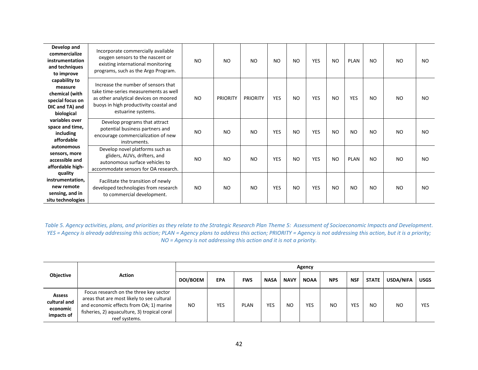| Develop and<br>commercialize<br>instrumentation<br>and techniques<br>to improve                 | Incorporate commercially available<br>oxygen sensors to the nascent or<br>existing international monitoring<br>programs, such as the Argo Program.                                    | <b>NO</b> | N <sub>O</sub>  | NO              | N <sub>O</sub> | <b>NO</b> | <b>YES</b> | <b>NO</b>      | <b>PLAN</b>    | <b>NO</b>      | <b>NO</b> | N <sub>O</sub> |
|-------------------------------------------------------------------------------------------------|---------------------------------------------------------------------------------------------------------------------------------------------------------------------------------------|-----------|-----------------|-----------------|----------------|-----------|------------|----------------|----------------|----------------|-----------|----------------|
| capability to<br>measure<br>chemical (with<br>special focus on<br>DIC and TA) and<br>biological | Increase the number of sensors that<br>take time-series measurements as well<br>as other analytical devices on moored<br>buoys in high productivity coastal and<br>estuarine systems. | <b>NO</b> | <b>PRIORITY</b> | <b>PRIORITY</b> | <b>YES</b>     | <b>NO</b> | <b>YES</b> | N <sub>O</sub> | <b>YES</b>     | <b>NO</b>      | <b>NO</b> | <b>NO</b>      |
| variables over<br>space and time,<br>including<br>affordable                                    | Develop programs that attract<br>potential business partners and<br>encourage commercialization of new<br>instruments.                                                                | <b>NO</b> | N <sub>O</sub>  | <b>NO</b>       | <b>YES</b>     | <b>NO</b> | <b>YES</b> | <b>NO</b>      | N <sub>O</sub> | N <sub>O</sub> | <b>NO</b> | N <sub>O</sub> |
| autonomous<br>sensors, more<br>accessible and<br>affordable high-                               | Develop novel platforms such as<br>gliders, AUVs, drifters, and<br>autonomous surface vehicles to<br>accommodate sensors for OA research.                                             | <b>NO</b> | N <sub>O</sub>  | <b>NO</b>       | <b>YES</b>     | <b>NO</b> | <b>YES</b> | <b>NO</b>      | <b>PLAN</b>    | <b>NO</b>      | <b>NO</b> | <b>NO</b>      |
| quality<br>instrumentation.<br>new remote<br>sensing, and in<br>situ technologies               | Facilitate the transition of newly<br>developed technologies from research<br>to commercial development.                                                                              | <b>NO</b> | N <sub>O</sub>  | <b>NO</b>       | <b>YES</b>     | <b>NO</b> | <b>YES</b> | <b>NO</b>      | <b>NO</b>      | <b>NO</b>      | <b>NO</b> | N <sub>O</sub> |

*Table 5. Agency activities, plans, and priorities as they relate to the Strategic Research Plan Theme 5: Assessment of Socioeconomic Impacts and Development. YES = Agency is already addressing this action; PLAN = Agency plans to address this action; PRIORITY = Agency is not addressing this action, but it is a priority; NO = Agency is not addressing this action and it is not a priority.*

|                                                         |                                                                                                                                                                                                  | Agency          |            |             |             |             |             |            |            |              |           |             |  |  |
|---------------------------------------------------------|--------------------------------------------------------------------------------------------------------------------------------------------------------------------------------------------------|-----------------|------------|-------------|-------------|-------------|-------------|------------|------------|--------------|-----------|-------------|--|--|
| Objective                                               | Action                                                                                                                                                                                           | <b>DOI/BOEM</b> | <b>EPA</b> | <b>FWS</b>  | <b>NASA</b> | <b>NAVY</b> | <b>NOAA</b> | <b>NPS</b> | <b>NSF</b> | <b>STATE</b> | USDA/NIFA | <b>USGS</b> |  |  |
| <b>Assess</b><br>cultural and<br>economic<br>impacts of | Focus research on the three key sector<br>areas that are most likely to see cultural<br>and economic effects from OA; 1) marine<br>fisheries, 2) aquaculture, 3) tropical coral<br>reef systems. | NO              | <b>YES</b> | <b>PLAN</b> | YES         | NO          | <b>YES</b>  | NO         | <b>YES</b> | <b>NO</b>    | NO        | YES         |  |  |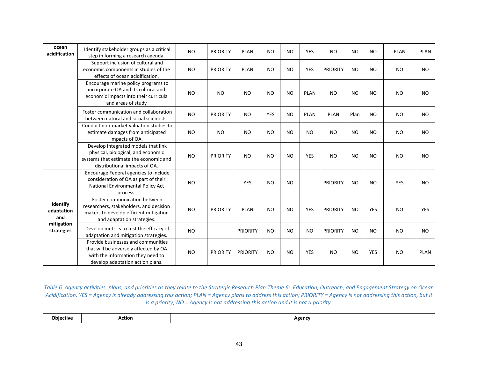| ocean<br>acidification        | Identify stakeholder groups as a critical<br>step in forming a research agenda.                                                                      | <b>NO</b> | <b>PRIORITY</b> | <b>PLAN</b>     | <b>NO</b>  | <b>NO</b> | <b>YES</b>  | <b>NO</b>       | <b>NO</b> | <b>NO</b>  | <b>PLAN</b> | PLAN        |
|-------------------------------|------------------------------------------------------------------------------------------------------------------------------------------------------|-----------|-----------------|-----------------|------------|-----------|-------------|-----------------|-----------|------------|-------------|-------------|
|                               | Support inclusion of cultural and<br>economic components in studies of the<br>effects of ocean acidification.                                        | <b>NO</b> | <b>PRIORITY</b> | <b>PLAN</b>     | <b>NO</b>  | <b>NO</b> | <b>YES</b>  | <b>PRIORITY</b> | <b>NO</b> | NO         | <b>NO</b>   | <b>NO</b>   |
|                               | Encourage marine policy programs to<br>incorporate OA and its cultural and<br>economic impacts into their curricula<br>and areas of study            | <b>NO</b> | <b>NO</b>       | <b>NO</b>       | <b>NO</b>  | <b>NO</b> | <b>PLAN</b> | <b>NO</b>       | <b>NO</b> | <b>NO</b>  | <b>NO</b>   | <b>NO</b>   |
|                               | Foster communication and collaboration<br>between natural and social scientists.                                                                     | <b>NO</b> | <b>PRIORITY</b> | <b>NO</b>       | <b>YES</b> | <b>NO</b> | <b>PLAN</b> | <b>PLAN</b>     | Plan      | <b>NO</b>  | <b>NO</b>   | <b>NO</b>   |
|                               | Conduct non-market valuation studies to<br>estimate damages from anticipated<br>impacts of OA.                                                       | <b>NO</b> | <b>NO</b>       | <b>NO</b>       | <b>NO</b>  | <b>NO</b> | <b>NO</b>   | <b>NO</b>       | <b>NO</b> | <b>NO</b>  | <b>NO</b>   | <b>NO</b>   |
|                               | Develop integrated models that link<br>physical, biological, and economic<br>systems that estimate the economic and<br>distributional impacts of OA. | <b>NO</b> | <b>PRIORITY</b> | <b>NO</b>       | <b>NO</b>  | <b>NO</b> | <b>YES</b>  | <b>NO</b>       | <b>NO</b> | <b>NO</b>  | <b>NO</b>   | <b>NO</b>   |
|                               | Encourage Federal agencies to include<br>consideration of OA as part of their<br>National Environmental Policy Act<br>process.                       | <b>NO</b> |                 | <b>YES</b>      | <b>NO</b>  | <b>NO</b> |             | <b>PRIORITY</b> | <b>NO</b> | <b>NO</b>  | <b>YES</b>  | <b>NO</b>   |
| Identify<br>adaptation<br>and | Foster communication between<br>researchers, stakeholders, and decision<br>makers to develop efficient mitigation<br>and adaptation strategies.      | <b>NO</b> | <b>PRIORITY</b> | <b>PLAN</b>     | <b>NO</b>  | <b>NO</b> | <b>YES</b>  | <b>PRIORITY</b> | <b>NO</b> | <b>YES</b> | <b>NO</b>   | <b>YES</b>  |
| mitigation<br>strategies      | Develop metrics to test the efficacy of<br>adaptation and mitigation strategies.                                                                     | <b>NO</b> |                 | <b>PRIORITY</b> | <b>NO</b>  | <b>NO</b> | <b>NO</b>   | <b>PRIORITY</b> | <b>NO</b> | NO         | NO          | <b>NO</b>   |
|                               | Provide businesses and communities<br>that will be adversely affected by OA<br>with the information they need to<br>develop adaptation action plans. | <b>NO</b> | <b>PRIORITY</b> | <b>PRIORITY</b> | <b>NO</b>  | <b>NO</b> | <b>YES</b>  | <b>NO</b>       | <b>NO</b> | <b>YES</b> | <b>NO</b>   | <b>PLAN</b> |

*Table 6. Agency activities, plans, and priorities as they relate to the Strategic Research Plan Theme 6: Education, Outreach, and Engagement Strategy on Ocean Acidification. YES = Agency is already addressing this action; PLAN = Agency plans to address this action; PRIORITY = Agency is not addressing this action, but it is a priority; NO = Agency is not addressing this action and it is not a priority.*

| .         | Action |               |
|-----------|--------|---------------|
| Obiective | .      | <b>Agency</b> |
|           |        |               |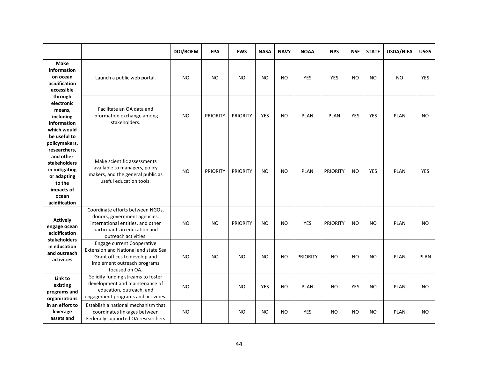|                                                                                                                                                                     |                                                                                                                                                                | DOI/BOEM  | <b>EPA</b>      | <b>FWS</b>      | <b>NASA</b> | <b>NAVY</b>    | <b>NOAA</b>     | <b>NPS</b>      | <b>NSF</b> | <b>STATE</b> | USDA/NIFA   | <b>USGS</b> |
|---------------------------------------------------------------------------------------------------------------------------------------------------------------------|----------------------------------------------------------------------------------------------------------------------------------------------------------------|-----------|-----------------|-----------------|-------------|----------------|-----------------|-----------------|------------|--------------|-------------|-------------|
| <b>Make</b><br>information<br>on ocean<br>acidification<br>accessible                                                                                               | Launch a public web portal.                                                                                                                                    | <b>NO</b> | <b>NO</b>       | <b>NO</b>       | <b>NO</b>   | <b>NO</b>      | <b>YES</b>      | <b>YES</b>      | <b>NO</b>  | <b>NO</b>    | <b>NO</b>   | <b>YES</b>  |
| through<br>electronic<br>means,<br>including<br>information<br>which would                                                                                          | Facilitate an OA data and<br>information exchange among<br>stakeholders.                                                                                       | <b>NO</b> | <b>PRIORITY</b> | <b>PRIORITY</b> | <b>YES</b>  | N <sub>O</sub> | <b>PLAN</b>     | <b>PLAN</b>     | <b>YES</b> | <b>YES</b>   | <b>PLAN</b> | <b>NO</b>   |
| be useful to<br>policymakers,<br>researchers,<br>and other<br><b>stakeholders</b><br>in mitigating<br>or adapting<br>to the<br>impacts of<br>ocean<br>acidification | Make scientific assessments<br>available to managers, policy<br>makers, and the general public as<br>useful education tools.                                   | <b>NO</b> | <b>PRIORITY</b> | <b>PRIORITY</b> | <b>NO</b>   | N <sub>O</sub> | <b>PLAN</b>     | <b>PRIORITY</b> | <b>NO</b>  | <b>YES</b>   | <b>PLAN</b> | YES         |
| <b>Actively</b><br>engage ocean<br>acidification<br><b>stakeholders</b>                                                                                             | Coordinate efforts between NGOs,<br>donors, government agencies,<br>international entities, and other<br>participants in education and<br>outreach activities. | <b>NO</b> | NO              | <b>PRIORITY</b> | <b>NO</b>   | <b>NO</b>      | <b>YES</b>      | <b>PRIORITY</b> | <b>NO</b>  | NO           | <b>PLAN</b> | NO.         |
| in education<br>and outreach<br>activities                                                                                                                          | <b>Engage current Cooperative</b><br>Extension and National and state Sea<br>Grant offices to develop and<br>implement outreach programs<br>focused on OA.     | <b>NO</b> | <b>NO</b>       | <b>NO</b>       | <b>NO</b>   | <b>NO</b>      | <b>PRIORITY</b> | <b>NO</b>       | <b>NO</b>  | <b>NO</b>    | <b>PLAN</b> | <b>PLAN</b> |
| Link to<br>existing<br>programs and<br>organizations                                                                                                                | Solidify funding streams to foster<br>development and maintenance of<br>education, outreach, and<br>engagement programs and activities.                        | <b>NO</b> |                 | <b>NO</b>       | <b>YES</b>  | <b>NO</b>      | <b>PLAN</b>     | <b>NO</b>       | <b>YES</b> | <b>NO</b>    | <b>PLAN</b> | <b>NO</b>   |
| in an effort to<br>leverage<br>assets and                                                                                                                           | Establish a national mechanism that<br>coordinates linkages between<br>Federally supported OA researchers                                                      | <b>NO</b> |                 | <b>NO</b>       | <b>NO</b>   | <b>NO</b>      | <b>YES</b>      | <b>NO</b>       | <b>NO</b>  | NO           | <b>PLAN</b> | <b>NO</b>   |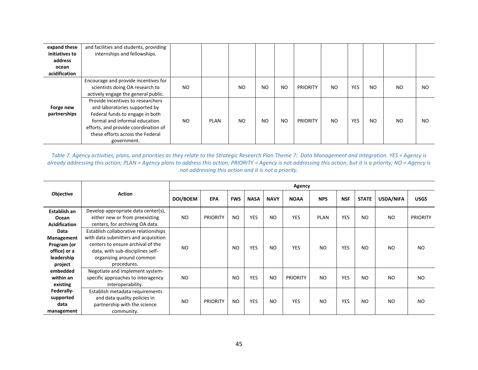| expand these<br>initiatives to | and facilities and students, providing<br>internships and fellowships.                                                                                                                                                            |           |      |           |           |           |                 |           |            |           |                |           |
|--------------------------------|-----------------------------------------------------------------------------------------------------------------------------------------------------------------------------------------------------------------------------------|-----------|------|-----------|-----------|-----------|-----------------|-----------|------------|-----------|----------------|-----------|
| address                        |                                                                                                                                                                                                                                   |           |      |           |           |           |                 |           |            |           |                |           |
| ocean                          |                                                                                                                                                                                                                                   |           |      |           |           |           |                 |           |            |           |                |           |
| acidification                  |                                                                                                                                                                                                                                   |           |      |           |           |           |                 |           |            |           |                |           |
|                                | Encourage and provide incentives for<br>scientists doing OA research to<br>actively engage the general public.                                                                                                                    | <b>NO</b> |      | <b>NO</b> | <b>NO</b> | <b>NO</b> | <b>PRIORITY</b> | <b>NO</b> | <b>YES</b> | NO        | N <sub>O</sub> | <b>NO</b> |
| Forge new<br>partnerships      | Provide incentives to researchers<br>and laboratories supported by<br>Federal funds to engage in both<br>formal and informal education<br>efforts, and provide coordination of<br>these efforts across the Federal<br>government. | NO.       | PLAN | NO        | <b>NO</b> | <b>NO</b> | <b>PRIORITY</b> | NO.       | <b>YES</b> | <b>NO</b> | NO             | NO.       |

*Table 7. Agency activities, plans, and priorities as they relate to the Strategic Research Plan Theme 7: Data Management and Integration. YES = Agency is already addressing this action; PLAN = Agency plans to address this action; PRIORITY = Agency is not addressing this action, but it is a priority; NO = Agency is not addressing this action and it is not a priority.*

|                      |                                       |           |                 |                |             |                | Agency          |             |            |              |                |                 |
|----------------------|---------------------------------------|-----------|-----------------|----------------|-------------|----------------|-----------------|-------------|------------|--------------|----------------|-----------------|
| <b>Objective</b>     | <b>Action</b>                         | DOI/BOEM  | <b>EPA</b>      | <b>FWS</b>     | <b>NASA</b> | <b>NAVY</b>    | <b>NOAA</b>     | <b>NPS</b>  | <b>NSF</b> | <b>STATE</b> | USDA/NIFA      | <b>USGS</b>     |
| Establish an         | Develop appropriate data center(s),   |           |                 |                |             |                |                 |             |            |              |                |                 |
| Ocean                | either new or from preexisting        | <b>NO</b> | <b>PRIORITY</b> | <b>NO</b>      | <b>YES</b>  | N <sub>O</sub> | <b>YES</b>      | <b>PLAN</b> | <b>YES</b> | <b>NO</b>    | <b>NO</b>      | <b>PRIORITY</b> |
| <b>Acidification</b> | centers, for archiving OA data.       |           |                 |                |             |                |                 |             |            |              |                |                 |
| Data                 | Establish collaborative relationships |           |                 |                |             |                |                 |             |            |              |                |                 |
| Management           | with data submitters and acquisition  |           |                 |                |             |                |                 |             |            |              |                |                 |
| Program (or          | centers to ensure archival of the     | NO        |                 | N <sub>O</sub> | <b>YES</b>  | N <sub>O</sub> | <b>YES</b>      | NO.         | <b>YES</b> | NO.          | NO             | NO.             |
| office) or a         | data, with sub-disciplines self-      |           |                 |                |             |                |                 |             |            |              |                |                 |
| leadership           | organizing around common              |           |                 |                |             |                |                 |             |            |              |                |                 |
| project              | procedures.                           |           |                 |                |             |                |                 |             |            |              |                |                 |
| embedded             | Negotiate and implement system-       |           |                 |                |             |                |                 |             |            |              |                |                 |
| within an            | specific approaches to interagency    | <b>NO</b> |                 | <b>NO</b>      | <b>YES</b>  | N <sub>O</sub> | <b>PRIORITY</b> | NO.         | <b>YES</b> | NO.          | <b>NO</b>      | NO.             |
| existing             | interoperability.                     |           |                 |                |             |                |                 |             |            |              |                |                 |
| Federally-           | Establish metadata requirements       |           |                 |                |             |                |                 |             |            |              |                |                 |
| supported            | and data quality policies in          |           |                 |                |             |                |                 |             |            |              |                | NO.             |
| data                 | partnership with the science          | <b>NO</b> | <b>PRIORITY</b> | <b>NO</b>      | YES         | N <sub>O</sub> | <b>YES</b>      | NO.         | YES        | NO           | N <sub>O</sub> |                 |
| management           | community.                            |           |                 |                |             |                |                 |             |            |              |                |                 |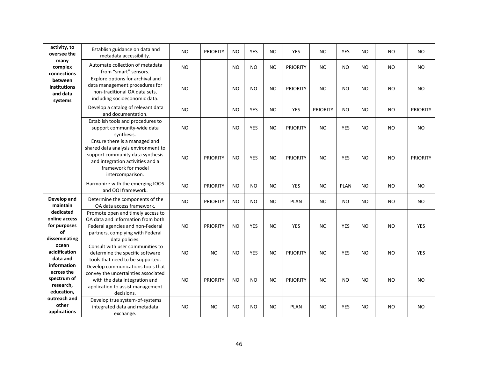| activity, to<br>oversee the                                         | Establish guidance on data and<br>metadata accessibility.                                                                                                                               | NO.       | <b>PRIORITY</b> | NO        | <b>YES</b> | NO             | <b>YES</b>      | NO              | <b>YES</b>  | N <sub>O</sub> | NO.       | NO              |
|---------------------------------------------------------------------|-----------------------------------------------------------------------------------------------------------------------------------------------------------------------------------------|-----------|-----------------|-----------|------------|----------------|-----------------|-----------------|-------------|----------------|-----------|-----------------|
| many<br>complex<br>connections                                      | Automate collection of metadata<br>from "smart" sensors.                                                                                                                                | NO        |                 | NO        | <b>NO</b>  | <b>NO</b>      | <b>PRIORITY</b> | NO              | <b>NO</b>   | N <sub>O</sub> | NO        | <b>NO</b>       |
| between<br>institutions<br>and data<br>systems                      | Explore options for archival and<br>data management procedures for<br>non-traditional OA data sets,<br>including socioeconomic data.                                                    | NO        |                 | <b>NO</b> | <b>NO</b>  | N <sub>O</sub> | <b>PRIORITY</b> | N <sub>O</sub>  | <b>NO</b>   | N <sub>O</sub> | NO        | <b>NO</b>       |
|                                                                     | Develop a catalog of relevant data<br>and documentation.                                                                                                                                | <b>NO</b> |                 | <b>NO</b> | YES        | NO             | <b>YES</b>      | <b>PRIORITY</b> | NO.         | <b>NO</b>      | <b>NO</b> | <b>PRIORITY</b> |
|                                                                     | Establish tools and procedures to<br>support community-wide data<br>synthesis.                                                                                                          | NO        |                 | <b>NO</b> | YES        | <b>NO</b>      | <b>PRIORITY</b> | NO              | <b>YES</b>  | N <sub>O</sub> | <b>NO</b> | <b>NO</b>       |
|                                                                     | Ensure there is a managed and<br>shared data analysis environment to<br>support community data synthesis<br>and integration activities and a<br>framework for model<br>intercomparison. | NO        | <b>PRIORITY</b> | NO        | <b>YES</b> | N <sub>O</sub> | <b>PRIORITY</b> | N <sub>O</sub>  | <b>YES</b>  | N <sub>O</sub> | <b>NO</b> | <b>PRIORITY</b> |
|                                                                     | Harmonize with the emerging IOOS<br>and OOI framework.                                                                                                                                  | NO        | <b>PRIORITY</b> | NO        | <b>NO</b>  | NO             | <b>YES</b>      | NO.             | <b>PLAN</b> | N <sub>O</sub> | NO.       | NO.             |
| Develop and<br>maintain                                             | Determine the components of the<br>OA data access framework.                                                                                                                            | NO.       | <b>PRIORITY</b> | <b>NO</b> | <b>NO</b>  | <b>NO</b>      | <b>PLAN</b>     | <b>NO</b>       | <b>NO</b>   | <b>NO</b>      | NO.       | NO              |
| dedicated<br>online access<br>for purposes<br>of<br>disseminating   | Promote open and timely access to<br>OA data and information from both<br>Federal agencies and non-Federal<br>partners, complying with Federal<br>data policies.                        | NO        | <b>PRIORITY</b> | NO        | <b>YES</b> | N <sub>O</sub> | <b>YES</b>      | N <sub>O</sub>  | <b>YES</b>  | N <sub>O</sub> | <b>NO</b> | <b>YES</b>      |
| ocean<br>acidification<br>data and                                  | Consult with user communities to<br>determine the specific software<br>tools that need to be supported.                                                                                 | NO.       | <b>NO</b>       | NO        | <b>YES</b> | <b>NO</b>      | <b>PRIORITY</b> | <b>NO</b>       | <b>YES</b>  | N <sub>O</sub> | NO.       | <b>YES</b>      |
| information<br>across the<br>spectrum of<br>research,<br>education, | Develop communications tools that<br>convey the uncertainties associated<br>with the data integration and<br>application to assist management<br>decisions.                             | NO        | <b>PRIORITY</b> | NO        | <b>NO</b>  | N <sub>O</sub> | <b>PRIORITY</b> | NO              | <b>NO</b>   | N <sub>O</sub> | <b>NO</b> | <b>NO</b>       |
| outreach and<br>other<br>applications                               | Develop true system-of-systems<br>integrated data and metadata<br>exchange.                                                                                                             | NO        | NO.             | NO        | <b>NO</b>  | NO             | <b>PLAN</b>     | N <sub>O</sub>  | <b>YES</b>  | N <sub>O</sub> | NO        | NO              |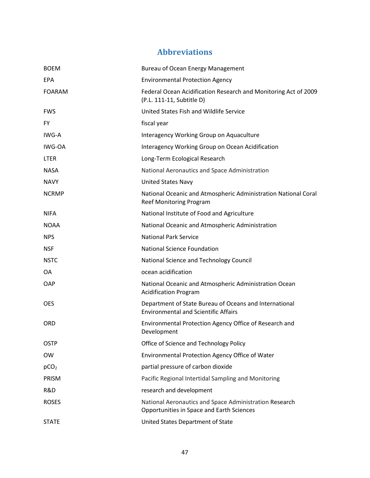# **Abbreviations**

| <b>BOEM</b>      | Bureau of Ocean Energy Management                                                                     |
|------------------|-------------------------------------------------------------------------------------------------------|
| EPA              | <b>Environmental Protection Agency</b>                                                                |
| <b>FOARAM</b>    | Federal Ocean Acidification Research and Monitoring Act of 2009<br>(P.L. 111-11, Subtitle D)          |
| <b>FWS</b>       | United States Fish and Wildlife Service                                                               |
| FY.              | fiscal year                                                                                           |
| IWG-A            | Interagency Working Group on Aquaculture                                                              |
| IWG-OA           | Interagency Working Group on Ocean Acidification                                                      |
| <b>LTER</b>      | Long-Term Ecological Research                                                                         |
| <b>NASA</b>      | National Aeronautics and Space Administration                                                         |
| <b>NAVY</b>      | <b>United States Navy</b>                                                                             |
| <b>NCRMP</b>     | National Oceanic and Atmospheric Administration National Coral<br><b>Reef Monitoring Program</b>      |
| <b>NIFA</b>      | National Institute of Food and Agriculture                                                            |
| <b>NOAA</b>      | National Oceanic and Atmospheric Administration                                                       |
| <b>NPS</b>       | <b>National Park Service</b>                                                                          |
| <b>NSF</b>       | <b>National Science Foundation</b>                                                                    |
| <b>NSTC</b>      | National Science and Technology Council                                                               |
| OA               | ocean acidification                                                                                   |
| <b>OAP</b>       | National Oceanic and Atmospheric Administration Ocean<br><b>Acidification Program</b>                 |
| <b>OES</b>       | Department of State Bureau of Oceans and International<br><b>Environmental and Scientific Affairs</b> |
| <b>ORD</b>       | Environmental Protection Agency Office of Research and<br>Development                                 |
| <b>OSTP</b>      | Office of Science and Technology Policy                                                               |
| <b>OW</b>        | Environmental Protection Agency Office of Water                                                       |
| pCO <sub>2</sub> | partial pressure of carbon dioxide                                                                    |
| PRISM            | Pacific Regional Intertidal Sampling and Monitoring                                                   |
| R&D              | research and development                                                                              |
| <b>ROSES</b>     | National Aeronautics and Space Administration Research<br>Opportunities in Space and Earth Sciences   |
| <b>STATE</b>     | United States Department of State                                                                     |